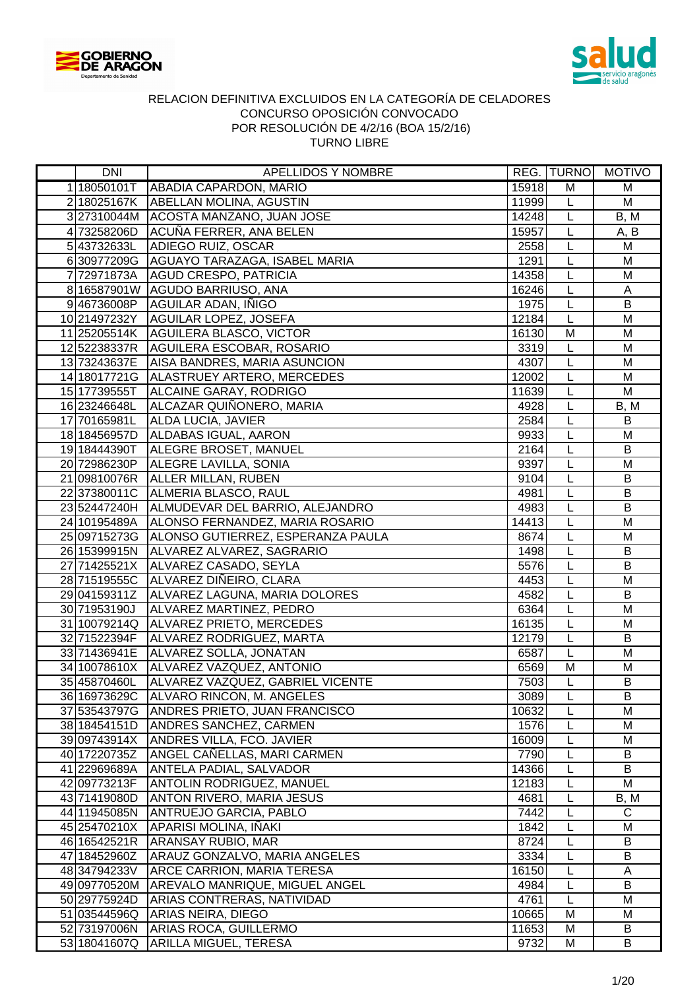



| DNI          | <b>APELLIDOS Y NOMBRE</b>                      |       |                | REG. TURNO MOTIVO |
|--------------|------------------------------------------------|-------|----------------|-------------------|
| 1 18050101T  | ABADIA CAPARDON, MARIO                         | 15918 | M              | M                 |
|              | 218025167K ABELLAN MOLINA, AGUSTIN             | 11999 | L              | M                 |
|              | 3 27310044M ACOSTA MANZANO, JUAN JOSE          | 14248 | L              | B, M              |
|              | 473258206D ACUÑA FERRER, ANA BELEN             | 15957 | L              | A, B              |
|              | 543732633L ADIEGO RUIZ, OSCAR                  | 2558  | L              | M                 |
|              | 6 30977209G AGUAYO TARAZAGA, ISABEL MARIA      | 1291  | $\overline{L}$ | M                 |
|              | 7 72971873A AGUD CRESPO, PATRICIA              | 14358 | $\overline{L}$ | M                 |
|              | 8 16587901W AGUDO BARRIUSO, ANA                | 16246 | τ              | $\overline{A}$    |
|              | 946736008P AGUILAR ADAN, INIGO                 | 1975  | L              | $\overline{B}$    |
|              | 10 21497232Y AGUILAR LOPEZ, JOSEFA             | 12184 | $\overline{L}$ | $\overline{M}$    |
|              | 11 25205514K   AGUILERA BLASCO, VICTOR         | 16130 | M              | M                 |
|              | 12 52238337R AGUILERA ESCOBAR, ROSARIO         | 3319  | $\overline{L}$ | $\overline{M}$    |
|              | 13 73243637E AISA BANDRES, MARIA ASUNCION      | 4307  | $\overline{L}$ | $\overline{M}$    |
|              | 14 18017721G   ALASTRUEY ARTERO, MERCEDES      | 12002 | L              | M                 |
| 15 17739555T | <b>ALCAINE GARAY, RODRIGO</b>                  | 11639 | L              | M                 |
| 16 23246648L | ALCAZAR QUIÑONERO, MARIA                       | 4928  | L              | B, M              |
| 17 70165981L | <b>ALDA LUCIA, JAVIER</b>                      | 2584  | L              | $\mathsf B$       |
| 18 18456957D | ALDABAS IGUAL, AARON                           | 9933  | L              | M                 |
| 19 18444390T | ALEGRE BROSET, MANUEL                          | 2164  | L              | $\sf B$           |
| 20 72986230P | <b>ALEGRE LAVILLA, SONIA</b>                   | 9397  | L              | M                 |
|              | 21 09810076R ALLER MILLAN, RUBEN               | 9104  | L              | B                 |
|              | 22 37380011C ALMERIA BLASCO, RAUL              | 4981  | L              | $\sf B$           |
|              | 23 52447240H ALMUDEVAR DEL BARRIO, ALEJANDRO   | 4983  | L              | $\overline{B}$    |
|              | 24 10195489A ALONSO FERNANDEZ, MARIA ROSARIO   | 14413 | L              | M                 |
|              | 25 09715273G ALONSO GUTIERREZ, ESPERANZA PAULA | 8674  | $\overline{L}$ | M                 |
|              | 26 15399915N ALVAREZ ALVAREZ, SAGRARIO         | 1498  | L              | $\sf B$           |
| 27 71425521X | ALVAREZ CASADO, SEYLA                          | 5576  | L              | B                 |
|              | 28 71519555C ALVAREZ DIÑEIRO, CLARA            | 4453  | L              | M                 |
|              | 29 04159311Z   ALVAREZ LAGUNA, MARIA DOLORES   | 4582  | τ              | $\overline{B}$    |
| 30 71953190J | ALVAREZ MARTINEZ, PEDRO                        | 6364  | L              | M                 |
| 31 10079214Q | ALVAREZ PRIETO, MERCEDES                       | 16135 | L              | M                 |
| 32 71522394F | ALVAREZ RODRIGUEZ, MARTA                       | 12179 | L              | B                 |
| 33 71436941E | ALVAREZ SOLLA, JONATAN                         | 6587  | L              | M                 |
|              | 34 10078610X ALVAREZ VAZQUEZ, ANTONIO          | 6569  | M              | M                 |
| 35 45870460L | ALVAREZ VAZQUEZ, GABRIEL VICENTE               | 7503  | L              | B                 |
| 36 16973629C | ALVARO RINCON, M. ANGELES                      | 3089  | L              | B                 |
| 37 53543797G | <b>ANDRES PRIETO, JUAN FRANCISCO</b>           | 10632 | L              | M                 |
| 38 18454151D | <b>ANDRES SANCHEZ, CARMEN</b>                  | 1576  | L              | M                 |
| 39 09743914X | <b>ANDRES VILLA, FCO. JAVIER</b>               | 16009 | L              | M                 |
| 40 17220735Z | ANGEL CAÑELLAS, MARI CARMEN                    | 7790  | L              | B                 |
| 41 22969689A | <b>ANTELA PADIAL, SALVADOR</b>                 | 14366 | L              | B                 |
| 42 09773213F | <b>ANTOLIN RODRIGUEZ, MANUEL</b>               | 12183 | L              | M                 |
| 43 71419080D | <b>ANTON RIVERO, MARIA JESUS</b>               | 4681  | L              | B, M              |
| 44 11945085N | <b>ANTRUEJO GARCIA, PABLO</b>                  | 7442  | L              | $\mathsf{C}$      |
| 45 25470210X | APARISI MOLINA, IÑAKI                          | 1842  | L              | M                 |
| 46 16542521R | <b>ARANSAY RUBIO, MAR</b>                      | 8724  | L              | B                 |
| 47 18452960Z | <b>ARAUZ GONZALVO, MARIA ANGELES</b>           | 3334  | L              | B                 |
| 48 34794233V | <b>ARCE CARRION, MARIA TERESA</b>              | 16150 | L              | Α                 |
| 49 09770520M | <b>AREVALO MANRIQUE, MIGUEL ANGEL</b>          | 4984  | L              | B                 |
| 50 29775924D | <b>ARIAS CONTRERAS, NATIVIDAD</b>              | 4761  | L              | M                 |
| 51 03544596Q | ARIAS NEIRA, DIEGO                             | 10665 | M              | M                 |
| 52 73197006N | <b>ARIAS ROCA, GUILLERMO</b>                   | 11653 | M              | B                 |
| 53 18041607Q | <b>ARILLA MIGUEL, TERESA</b>                   | 9732  | М              | B                 |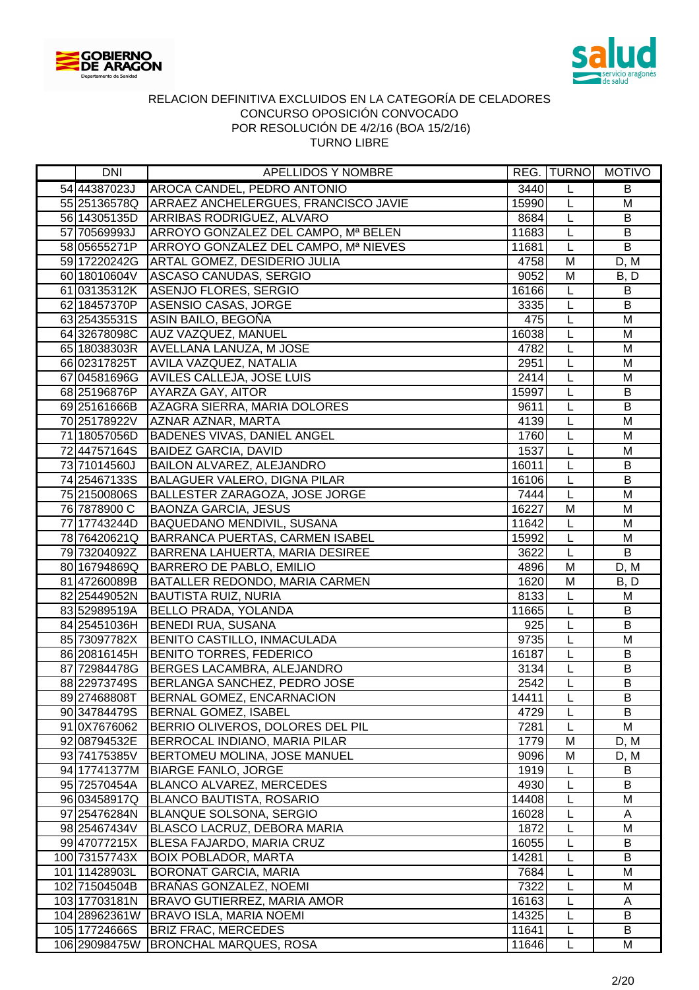



| 54 44387023J<br>3440<br>AROCA CANDEL, PEDRO ANTONIO<br>L<br>B<br>55 25136578Q ARRAEZ ANCHELERGUES, FRANCISCO JAVIE<br>15990<br>L<br>M<br>$\overline{B}$<br>56 14305135D ARRIBAS RODRIGUEZ, ALVARO<br>L<br>8684<br>57 70569993J ARROYO GONZALEZ DEL CAMPO, Mª BELEN<br>L<br>$\sf B$<br>11683<br>$\overline{B}$<br>58 05655271P ARROYO GONZALEZ DEL CAMPO, Mª NIEVES<br>L<br>11681<br>59 17220242G ARTAL GOMEZ, DESIDERIO JULIA<br>4758<br>M<br>D, M<br>$\overline{M}$<br>60 18010604V ASCASO CANUDAS, SERGIO<br>9052<br>B, D<br>61 03135312K ASENJO FLORES, SERGIO<br>L<br>16166<br>B<br>L<br>B<br>62 18457370P<br>ASENSIO CASAS, JORGE<br>3335<br>63 25435531S   ASIN BAILO, BEGOÑA<br>L<br>M<br>475<br>$\overline{L}$<br>$\overline{M}$<br>64 32678098C AUZ VAZQUEZ, MANUEL<br>16038<br>$\overline{L}$<br>M<br>65 18038303R AVELLANA LANUZA, M JOSE<br>4782<br>L<br>M<br>66 02317825T<br>AVILA VAZQUEZ, NATALIA<br>2951<br>67 04581696G<br>2414<br>L<br>M<br><b>AVILES CALLEJA, JOSE LUIS</b><br>L<br>$\sf B$<br><b>AYARZA GAY, AITOR</b><br>15997<br>68 25196876P<br>$\sf B$<br>69 25161666B<br>AZAGRA SIERRA, MARIA DOLORES<br>L<br>9611<br>AZNAR AZNAR, MARTA<br>M<br>70 25178922V<br>4139<br>L<br>71 18057056D<br>BADENES VIVAS, DANIEL ANGEL<br>1760<br>L<br>M<br>7244757164S<br><b>BAIDEZ GARCIA, DAVID</b><br>1537<br>L<br>M<br>BAILON ALVAREZ, ALEJANDRO<br>L<br>$\sf B$<br>73 71014560J<br>16011<br>$\overline{B}$<br>BALAGUER VALERO, DIGNA PILAR<br>L<br>74 25467133S<br>16106<br>L<br>75 21500806S<br>BALLESTER ZARAGOZA, JOSE JORGE<br>7444<br>M<br><b>BAONZA GARCIA, JESUS</b><br>16227<br>M<br>M<br>76 7878900 C<br>BAQUEDANO MENDIVIL, SUSANA<br>L<br>M<br>77 17743244D<br>11642<br>78 76420621Q BARRANCA PUERTAS, CARMEN ISABEL<br>$\overline{L}$<br>$\overline{M}$<br>15992<br>79 73204092Z BARRENA LAHUERTA, MARIA DESIREE<br>$\overline{B}$<br>3622<br>L<br>80 16794869Q BARRERO DE PABLO, EMILIO<br>$\overline{M}$<br>4896<br>D, M<br>81 47260089B BATALLER REDONDO, MARIA CARMEN<br>1620<br>$\overline{M}$<br>B, D<br>82 25449052N<br>8133<br>$\overline{L}$<br><b>BAUTISTA RUIZ, NURIA</b><br>M<br>$\overline{L}$<br>83 52989519A<br><b>BELLO PRADA, YOLANDA</b><br>11665<br>B<br>925<br>$\overline{L}$<br>$\overline{B}$<br>84 25451036H<br><b>BENEDI RUA, SUSANA</b><br>9735<br>L<br>M<br>85 73097782X<br>BENITO CASTILLO, INMACULADA<br>L<br><b>BENITO TORRES, FEDERICO</b><br>16187<br>B<br>86 20816145H<br>$\sf B$<br>87 72984478G   BERGES LACAMBRA, ALEJANDRO<br>3134<br>L<br>2542<br>B<br>88 22973749S<br>BERLANGA SANCHEZ, PEDRO JOSE<br>L<br>89 27468808T<br>BERNAL GOMEZ, ENCARNACION<br>14411<br>B<br>L<br>L<br>B<br>90 34784479S<br><b>BERNAL GOMEZ, ISABEL</b><br>4729<br>M<br>91 0X7676062<br>BERRIO OLIVEROS, DOLORES DEL PIL<br>7281<br>L<br>92 08794532E<br>BERROCAL INDIANO, MARIA PILAR<br>1779<br>M<br>D, M<br><b>BERTOMEU MOLINA, JOSE MANUEL</b><br>M<br>9096<br>93 74175385V<br>D, M<br><b>BIARGE FANLO, JORGE</b><br>1919<br>L<br>B<br>94 17741377M<br>BLANCO ALVAREZ, MERCEDES<br>L<br>B<br>95 72570454A<br>4930<br>14408<br>96 03458917Q<br><b>BLANCO BAUTISTA, ROSARIO</b><br>L<br>M<br><b>BLANQUE SOLSONA, SERGIO</b><br>16028<br>L<br>A<br>97 25476284N<br>M<br>98 25467434V<br><b>BLASCO LACRUZ, DEBORA MARIA</b><br>1872<br>L<br>16055<br>9947077215X<br><b>BLESA FAJARDO, MARIA CRUZ</b><br>L<br>B<br>100 73157743X<br><b>BOIX POBLADOR, MARTA</b><br>14281<br>B<br>L<br>M<br>7684<br>L<br>101 11428903L<br><b>BORONAT GARCIA, MARIA</b><br>102 71504504B<br>7322<br>L<br>M<br><b>BRANAS GONZALEZ, NOEMI</b><br>103 17703181N<br><b>BRAVO GUTIERREZ, MARIA AMOR</b><br>16163<br>L<br>A<br>104 28962361W BRAVO ISLA, MARIA NOEMI<br>14325<br>L<br>B<br><b>BRIZ FRAC, MERCEDES</b><br>B<br>105 17724666S<br>11641<br>L<br>L<br>106 29098475W<br><b>BRONCHAL MARQUES, ROSA</b><br>11646<br>M | DNI | APELLIDOS Y NOMBRE |  | REG. TURNO MOTIVO |
|----------------------------------------------------------------------------------------------------------------------------------------------------------------------------------------------------------------------------------------------------------------------------------------------------------------------------------------------------------------------------------------------------------------------------------------------------------------------------------------------------------------------------------------------------------------------------------------------------------------------------------------------------------------------------------------------------------------------------------------------------------------------------------------------------------------------------------------------------------------------------------------------------------------------------------------------------------------------------------------------------------------------------------------------------------------------------------------------------------------------------------------------------------------------------------------------------------------------------------------------------------------------------------------------------------------------------------------------------------------------------------------------------------------------------------------------------------------------------------------------------------------------------------------------------------------------------------------------------------------------------------------------------------------------------------------------------------------------------------------------------------------------------------------------------------------------------------------------------------------------------------------------------------------------------------------------------------------------------------------------------------------------------------------------------------------------------------------------------------------------------------------------------------------------------------------------------------------------------------------------------------------------------------------------------------------------------------------------------------------------------------------------------------------------------------------------------------------------------------------------------------------------------------------------------------------------------------------------------------------------------------------------------------------------------------------------------------------------------------------------------------------------------------------------------------------------------------------------------------------------------------------------------------------------------------------------------------------------------------------------------------------------------------------------------------------------------------------------------------------------------------------------------------------------------------------------------------------------------------------------------------------------------------------------------------------------------------------------------------------------------------------------------------------------------------------------------------------------------------------------------------------------------------------------------------------------------------------------------------------------------------------------------------------------------------------------------------------------------------------------------------------------------------------------------------------------------------------------------|-----|--------------------|--|-------------------|
|                                                                                                                                                                                                                                                                                                                                                                                                                                                                                                                                                                                                                                                                                                                                                                                                                                                                                                                                                                                                                                                                                                                                                                                                                                                                                                                                                                                                                                                                                                                                                                                                                                                                                                                                                                                                                                                                                                                                                                                                                                                                                                                                                                                                                                                                                                                                                                                                                                                                                                                                                                                                                                                                                                                                                                                                                                                                                                                                                                                                                                                                                                                                                                                                                                                                                                                                                                                                                                                                                                                                                                                                                                                                                                                                                                                                                                                    |     |                    |  |                   |
|                                                                                                                                                                                                                                                                                                                                                                                                                                                                                                                                                                                                                                                                                                                                                                                                                                                                                                                                                                                                                                                                                                                                                                                                                                                                                                                                                                                                                                                                                                                                                                                                                                                                                                                                                                                                                                                                                                                                                                                                                                                                                                                                                                                                                                                                                                                                                                                                                                                                                                                                                                                                                                                                                                                                                                                                                                                                                                                                                                                                                                                                                                                                                                                                                                                                                                                                                                                                                                                                                                                                                                                                                                                                                                                                                                                                                                                    |     |                    |  |                   |
|                                                                                                                                                                                                                                                                                                                                                                                                                                                                                                                                                                                                                                                                                                                                                                                                                                                                                                                                                                                                                                                                                                                                                                                                                                                                                                                                                                                                                                                                                                                                                                                                                                                                                                                                                                                                                                                                                                                                                                                                                                                                                                                                                                                                                                                                                                                                                                                                                                                                                                                                                                                                                                                                                                                                                                                                                                                                                                                                                                                                                                                                                                                                                                                                                                                                                                                                                                                                                                                                                                                                                                                                                                                                                                                                                                                                                                                    |     |                    |  |                   |
|                                                                                                                                                                                                                                                                                                                                                                                                                                                                                                                                                                                                                                                                                                                                                                                                                                                                                                                                                                                                                                                                                                                                                                                                                                                                                                                                                                                                                                                                                                                                                                                                                                                                                                                                                                                                                                                                                                                                                                                                                                                                                                                                                                                                                                                                                                                                                                                                                                                                                                                                                                                                                                                                                                                                                                                                                                                                                                                                                                                                                                                                                                                                                                                                                                                                                                                                                                                                                                                                                                                                                                                                                                                                                                                                                                                                                                                    |     |                    |  |                   |
|                                                                                                                                                                                                                                                                                                                                                                                                                                                                                                                                                                                                                                                                                                                                                                                                                                                                                                                                                                                                                                                                                                                                                                                                                                                                                                                                                                                                                                                                                                                                                                                                                                                                                                                                                                                                                                                                                                                                                                                                                                                                                                                                                                                                                                                                                                                                                                                                                                                                                                                                                                                                                                                                                                                                                                                                                                                                                                                                                                                                                                                                                                                                                                                                                                                                                                                                                                                                                                                                                                                                                                                                                                                                                                                                                                                                                                                    |     |                    |  |                   |
|                                                                                                                                                                                                                                                                                                                                                                                                                                                                                                                                                                                                                                                                                                                                                                                                                                                                                                                                                                                                                                                                                                                                                                                                                                                                                                                                                                                                                                                                                                                                                                                                                                                                                                                                                                                                                                                                                                                                                                                                                                                                                                                                                                                                                                                                                                                                                                                                                                                                                                                                                                                                                                                                                                                                                                                                                                                                                                                                                                                                                                                                                                                                                                                                                                                                                                                                                                                                                                                                                                                                                                                                                                                                                                                                                                                                                                                    |     |                    |  |                   |
|                                                                                                                                                                                                                                                                                                                                                                                                                                                                                                                                                                                                                                                                                                                                                                                                                                                                                                                                                                                                                                                                                                                                                                                                                                                                                                                                                                                                                                                                                                                                                                                                                                                                                                                                                                                                                                                                                                                                                                                                                                                                                                                                                                                                                                                                                                                                                                                                                                                                                                                                                                                                                                                                                                                                                                                                                                                                                                                                                                                                                                                                                                                                                                                                                                                                                                                                                                                                                                                                                                                                                                                                                                                                                                                                                                                                                                                    |     |                    |  |                   |
|                                                                                                                                                                                                                                                                                                                                                                                                                                                                                                                                                                                                                                                                                                                                                                                                                                                                                                                                                                                                                                                                                                                                                                                                                                                                                                                                                                                                                                                                                                                                                                                                                                                                                                                                                                                                                                                                                                                                                                                                                                                                                                                                                                                                                                                                                                                                                                                                                                                                                                                                                                                                                                                                                                                                                                                                                                                                                                                                                                                                                                                                                                                                                                                                                                                                                                                                                                                                                                                                                                                                                                                                                                                                                                                                                                                                                                                    |     |                    |  |                   |
|                                                                                                                                                                                                                                                                                                                                                                                                                                                                                                                                                                                                                                                                                                                                                                                                                                                                                                                                                                                                                                                                                                                                                                                                                                                                                                                                                                                                                                                                                                                                                                                                                                                                                                                                                                                                                                                                                                                                                                                                                                                                                                                                                                                                                                                                                                                                                                                                                                                                                                                                                                                                                                                                                                                                                                                                                                                                                                                                                                                                                                                                                                                                                                                                                                                                                                                                                                                                                                                                                                                                                                                                                                                                                                                                                                                                                                                    |     |                    |  |                   |
|                                                                                                                                                                                                                                                                                                                                                                                                                                                                                                                                                                                                                                                                                                                                                                                                                                                                                                                                                                                                                                                                                                                                                                                                                                                                                                                                                                                                                                                                                                                                                                                                                                                                                                                                                                                                                                                                                                                                                                                                                                                                                                                                                                                                                                                                                                                                                                                                                                                                                                                                                                                                                                                                                                                                                                                                                                                                                                                                                                                                                                                                                                                                                                                                                                                                                                                                                                                                                                                                                                                                                                                                                                                                                                                                                                                                                                                    |     |                    |  |                   |
|                                                                                                                                                                                                                                                                                                                                                                                                                                                                                                                                                                                                                                                                                                                                                                                                                                                                                                                                                                                                                                                                                                                                                                                                                                                                                                                                                                                                                                                                                                                                                                                                                                                                                                                                                                                                                                                                                                                                                                                                                                                                                                                                                                                                                                                                                                                                                                                                                                                                                                                                                                                                                                                                                                                                                                                                                                                                                                                                                                                                                                                                                                                                                                                                                                                                                                                                                                                                                                                                                                                                                                                                                                                                                                                                                                                                                                                    |     |                    |  |                   |
|                                                                                                                                                                                                                                                                                                                                                                                                                                                                                                                                                                                                                                                                                                                                                                                                                                                                                                                                                                                                                                                                                                                                                                                                                                                                                                                                                                                                                                                                                                                                                                                                                                                                                                                                                                                                                                                                                                                                                                                                                                                                                                                                                                                                                                                                                                                                                                                                                                                                                                                                                                                                                                                                                                                                                                                                                                                                                                                                                                                                                                                                                                                                                                                                                                                                                                                                                                                                                                                                                                                                                                                                                                                                                                                                                                                                                                                    |     |                    |  |                   |
|                                                                                                                                                                                                                                                                                                                                                                                                                                                                                                                                                                                                                                                                                                                                                                                                                                                                                                                                                                                                                                                                                                                                                                                                                                                                                                                                                                                                                                                                                                                                                                                                                                                                                                                                                                                                                                                                                                                                                                                                                                                                                                                                                                                                                                                                                                                                                                                                                                                                                                                                                                                                                                                                                                                                                                                                                                                                                                                                                                                                                                                                                                                                                                                                                                                                                                                                                                                                                                                                                                                                                                                                                                                                                                                                                                                                                                                    |     |                    |  |                   |
|                                                                                                                                                                                                                                                                                                                                                                                                                                                                                                                                                                                                                                                                                                                                                                                                                                                                                                                                                                                                                                                                                                                                                                                                                                                                                                                                                                                                                                                                                                                                                                                                                                                                                                                                                                                                                                                                                                                                                                                                                                                                                                                                                                                                                                                                                                                                                                                                                                                                                                                                                                                                                                                                                                                                                                                                                                                                                                                                                                                                                                                                                                                                                                                                                                                                                                                                                                                                                                                                                                                                                                                                                                                                                                                                                                                                                                                    |     |                    |  |                   |
|                                                                                                                                                                                                                                                                                                                                                                                                                                                                                                                                                                                                                                                                                                                                                                                                                                                                                                                                                                                                                                                                                                                                                                                                                                                                                                                                                                                                                                                                                                                                                                                                                                                                                                                                                                                                                                                                                                                                                                                                                                                                                                                                                                                                                                                                                                                                                                                                                                                                                                                                                                                                                                                                                                                                                                                                                                                                                                                                                                                                                                                                                                                                                                                                                                                                                                                                                                                                                                                                                                                                                                                                                                                                                                                                                                                                                                                    |     |                    |  |                   |
|                                                                                                                                                                                                                                                                                                                                                                                                                                                                                                                                                                                                                                                                                                                                                                                                                                                                                                                                                                                                                                                                                                                                                                                                                                                                                                                                                                                                                                                                                                                                                                                                                                                                                                                                                                                                                                                                                                                                                                                                                                                                                                                                                                                                                                                                                                                                                                                                                                                                                                                                                                                                                                                                                                                                                                                                                                                                                                                                                                                                                                                                                                                                                                                                                                                                                                                                                                                                                                                                                                                                                                                                                                                                                                                                                                                                                                                    |     |                    |  |                   |
|                                                                                                                                                                                                                                                                                                                                                                                                                                                                                                                                                                                                                                                                                                                                                                                                                                                                                                                                                                                                                                                                                                                                                                                                                                                                                                                                                                                                                                                                                                                                                                                                                                                                                                                                                                                                                                                                                                                                                                                                                                                                                                                                                                                                                                                                                                                                                                                                                                                                                                                                                                                                                                                                                                                                                                                                                                                                                                                                                                                                                                                                                                                                                                                                                                                                                                                                                                                                                                                                                                                                                                                                                                                                                                                                                                                                                                                    |     |                    |  |                   |
|                                                                                                                                                                                                                                                                                                                                                                                                                                                                                                                                                                                                                                                                                                                                                                                                                                                                                                                                                                                                                                                                                                                                                                                                                                                                                                                                                                                                                                                                                                                                                                                                                                                                                                                                                                                                                                                                                                                                                                                                                                                                                                                                                                                                                                                                                                                                                                                                                                                                                                                                                                                                                                                                                                                                                                                                                                                                                                                                                                                                                                                                                                                                                                                                                                                                                                                                                                                                                                                                                                                                                                                                                                                                                                                                                                                                                                                    |     |                    |  |                   |
|                                                                                                                                                                                                                                                                                                                                                                                                                                                                                                                                                                                                                                                                                                                                                                                                                                                                                                                                                                                                                                                                                                                                                                                                                                                                                                                                                                                                                                                                                                                                                                                                                                                                                                                                                                                                                                                                                                                                                                                                                                                                                                                                                                                                                                                                                                                                                                                                                                                                                                                                                                                                                                                                                                                                                                                                                                                                                                                                                                                                                                                                                                                                                                                                                                                                                                                                                                                                                                                                                                                                                                                                                                                                                                                                                                                                                                                    |     |                    |  |                   |
|                                                                                                                                                                                                                                                                                                                                                                                                                                                                                                                                                                                                                                                                                                                                                                                                                                                                                                                                                                                                                                                                                                                                                                                                                                                                                                                                                                                                                                                                                                                                                                                                                                                                                                                                                                                                                                                                                                                                                                                                                                                                                                                                                                                                                                                                                                                                                                                                                                                                                                                                                                                                                                                                                                                                                                                                                                                                                                                                                                                                                                                                                                                                                                                                                                                                                                                                                                                                                                                                                                                                                                                                                                                                                                                                                                                                                                                    |     |                    |  |                   |
|                                                                                                                                                                                                                                                                                                                                                                                                                                                                                                                                                                                                                                                                                                                                                                                                                                                                                                                                                                                                                                                                                                                                                                                                                                                                                                                                                                                                                                                                                                                                                                                                                                                                                                                                                                                                                                                                                                                                                                                                                                                                                                                                                                                                                                                                                                                                                                                                                                                                                                                                                                                                                                                                                                                                                                                                                                                                                                                                                                                                                                                                                                                                                                                                                                                                                                                                                                                                                                                                                                                                                                                                                                                                                                                                                                                                                                                    |     |                    |  |                   |
|                                                                                                                                                                                                                                                                                                                                                                                                                                                                                                                                                                                                                                                                                                                                                                                                                                                                                                                                                                                                                                                                                                                                                                                                                                                                                                                                                                                                                                                                                                                                                                                                                                                                                                                                                                                                                                                                                                                                                                                                                                                                                                                                                                                                                                                                                                                                                                                                                                                                                                                                                                                                                                                                                                                                                                                                                                                                                                                                                                                                                                                                                                                                                                                                                                                                                                                                                                                                                                                                                                                                                                                                                                                                                                                                                                                                                                                    |     |                    |  |                   |
|                                                                                                                                                                                                                                                                                                                                                                                                                                                                                                                                                                                                                                                                                                                                                                                                                                                                                                                                                                                                                                                                                                                                                                                                                                                                                                                                                                                                                                                                                                                                                                                                                                                                                                                                                                                                                                                                                                                                                                                                                                                                                                                                                                                                                                                                                                                                                                                                                                                                                                                                                                                                                                                                                                                                                                                                                                                                                                                                                                                                                                                                                                                                                                                                                                                                                                                                                                                                                                                                                                                                                                                                                                                                                                                                                                                                                                                    |     |                    |  |                   |
|                                                                                                                                                                                                                                                                                                                                                                                                                                                                                                                                                                                                                                                                                                                                                                                                                                                                                                                                                                                                                                                                                                                                                                                                                                                                                                                                                                                                                                                                                                                                                                                                                                                                                                                                                                                                                                                                                                                                                                                                                                                                                                                                                                                                                                                                                                                                                                                                                                                                                                                                                                                                                                                                                                                                                                                                                                                                                                                                                                                                                                                                                                                                                                                                                                                                                                                                                                                                                                                                                                                                                                                                                                                                                                                                                                                                                                                    |     |                    |  |                   |
|                                                                                                                                                                                                                                                                                                                                                                                                                                                                                                                                                                                                                                                                                                                                                                                                                                                                                                                                                                                                                                                                                                                                                                                                                                                                                                                                                                                                                                                                                                                                                                                                                                                                                                                                                                                                                                                                                                                                                                                                                                                                                                                                                                                                                                                                                                                                                                                                                                                                                                                                                                                                                                                                                                                                                                                                                                                                                                                                                                                                                                                                                                                                                                                                                                                                                                                                                                                                                                                                                                                                                                                                                                                                                                                                                                                                                                                    |     |                    |  |                   |
|                                                                                                                                                                                                                                                                                                                                                                                                                                                                                                                                                                                                                                                                                                                                                                                                                                                                                                                                                                                                                                                                                                                                                                                                                                                                                                                                                                                                                                                                                                                                                                                                                                                                                                                                                                                                                                                                                                                                                                                                                                                                                                                                                                                                                                                                                                                                                                                                                                                                                                                                                                                                                                                                                                                                                                                                                                                                                                                                                                                                                                                                                                                                                                                                                                                                                                                                                                                                                                                                                                                                                                                                                                                                                                                                                                                                                                                    |     |                    |  |                   |
|                                                                                                                                                                                                                                                                                                                                                                                                                                                                                                                                                                                                                                                                                                                                                                                                                                                                                                                                                                                                                                                                                                                                                                                                                                                                                                                                                                                                                                                                                                                                                                                                                                                                                                                                                                                                                                                                                                                                                                                                                                                                                                                                                                                                                                                                                                                                                                                                                                                                                                                                                                                                                                                                                                                                                                                                                                                                                                                                                                                                                                                                                                                                                                                                                                                                                                                                                                                                                                                                                                                                                                                                                                                                                                                                                                                                                                                    |     |                    |  |                   |
|                                                                                                                                                                                                                                                                                                                                                                                                                                                                                                                                                                                                                                                                                                                                                                                                                                                                                                                                                                                                                                                                                                                                                                                                                                                                                                                                                                                                                                                                                                                                                                                                                                                                                                                                                                                                                                                                                                                                                                                                                                                                                                                                                                                                                                                                                                                                                                                                                                                                                                                                                                                                                                                                                                                                                                                                                                                                                                                                                                                                                                                                                                                                                                                                                                                                                                                                                                                                                                                                                                                                                                                                                                                                                                                                                                                                                                                    |     |                    |  |                   |
|                                                                                                                                                                                                                                                                                                                                                                                                                                                                                                                                                                                                                                                                                                                                                                                                                                                                                                                                                                                                                                                                                                                                                                                                                                                                                                                                                                                                                                                                                                                                                                                                                                                                                                                                                                                                                                                                                                                                                                                                                                                                                                                                                                                                                                                                                                                                                                                                                                                                                                                                                                                                                                                                                                                                                                                                                                                                                                                                                                                                                                                                                                                                                                                                                                                                                                                                                                                                                                                                                                                                                                                                                                                                                                                                                                                                                                                    |     |                    |  |                   |
|                                                                                                                                                                                                                                                                                                                                                                                                                                                                                                                                                                                                                                                                                                                                                                                                                                                                                                                                                                                                                                                                                                                                                                                                                                                                                                                                                                                                                                                                                                                                                                                                                                                                                                                                                                                                                                                                                                                                                                                                                                                                                                                                                                                                                                                                                                                                                                                                                                                                                                                                                                                                                                                                                                                                                                                                                                                                                                                                                                                                                                                                                                                                                                                                                                                                                                                                                                                                                                                                                                                                                                                                                                                                                                                                                                                                                                                    |     |                    |  |                   |
|                                                                                                                                                                                                                                                                                                                                                                                                                                                                                                                                                                                                                                                                                                                                                                                                                                                                                                                                                                                                                                                                                                                                                                                                                                                                                                                                                                                                                                                                                                                                                                                                                                                                                                                                                                                                                                                                                                                                                                                                                                                                                                                                                                                                                                                                                                                                                                                                                                                                                                                                                                                                                                                                                                                                                                                                                                                                                                                                                                                                                                                                                                                                                                                                                                                                                                                                                                                                                                                                                                                                                                                                                                                                                                                                                                                                                                                    |     |                    |  |                   |
|                                                                                                                                                                                                                                                                                                                                                                                                                                                                                                                                                                                                                                                                                                                                                                                                                                                                                                                                                                                                                                                                                                                                                                                                                                                                                                                                                                                                                                                                                                                                                                                                                                                                                                                                                                                                                                                                                                                                                                                                                                                                                                                                                                                                                                                                                                                                                                                                                                                                                                                                                                                                                                                                                                                                                                                                                                                                                                                                                                                                                                                                                                                                                                                                                                                                                                                                                                                                                                                                                                                                                                                                                                                                                                                                                                                                                                                    |     |                    |  |                   |
|                                                                                                                                                                                                                                                                                                                                                                                                                                                                                                                                                                                                                                                                                                                                                                                                                                                                                                                                                                                                                                                                                                                                                                                                                                                                                                                                                                                                                                                                                                                                                                                                                                                                                                                                                                                                                                                                                                                                                                                                                                                                                                                                                                                                                                                                                                                                                                                                                                                                                                                                                                                                                                                                                                                                                                                                                                                                                                                                                                                                                                                                                                                                                                                                                                                                                                                                                                                                                                                                                                                                                                                                                                                                                                                                                                                                                                                    |     |                    |  |                   |
|                                                                                                                                                                                                                                                                                                                                                                                                                                                                                                                                                                                                                                                                                                                                                                                                                                                                                                                                                                                                                                                                                                                                                                                                                                                                                                                                                                                                                                                                                                                                                                                                                                                                                                                                                                                                                                                                                                                                                                                                                                                                                                                                                                                                                                                                                                                                                                                                                                                                                                                                                                                                                                                                                                                                                                                                                                                                                                                                                                                                                                                                                                                                                                                                                                                                                                                                                                                                                                                                                                                                                                                                                                                                                                                                                                                                                                                    |     |                    |  |                   |
|                                                                                                                                                                                                                                                                                                                                                                                                                                                                                                                                                                                                                                                                                                                                                                                                                                                                                                                                                                                                                                                                                                                                                                                                                                                                                                                                                                                                                                                                                                                                                                                                                                                                                                                                                                                                                                                                                                                                                                                                                                                                                                                                                                                                                                                                                                                                                                                                                                                                                                                                                                                                                                                                                                                                                                                                                                                                                                                                                                                                                                                                                                                                                                                                                                                                                                                                                                                                                                                                                                                                                                                                                                                                                                                                                                                                                                                    |     |                    |  |                   |
|                                                                                                                                                                                                                                                                                                                                                                                                                                                                                                                                                                                                                                                                                                                                                                                                                                                                                                                                                                                                                                                                                                                                                                                                                                                                                                                                                                                                                                                                                                                                                                                                                                                                                                                                                                                                                                                                                                                                                                                                                                                                                                                                                                                                                                                                                                                                                                                                                                                                                                                                                                                                                                                                                                                                                                                                                                                                                                                                                                                                                                                                                                                                                                                                                                                                                                                                                                                                                                                                                                                                                                                                                                                                                                                                                                                                                                                    |     |                    |  |                   |
|                                                                                                                                                                                                                                                                                                                                                                                                                                                                                                                                                                                                                                                                                                                                                                                                                                                                                                                                                                                                                                                                                                                                                                                                                                                                                                                                                                                                                                                                                                                                                                                                                                                                                                                                                                                                                                                                                                                                                                                                                                                                                                                                                                                                                                                                                                                                                                                                                                                                                                                                                                                                                                                                                                                                                                                                                                                                                                                                                                                                                                                                                                                                                                                                                                                                                                                                                                                                                                                                                                                                                                                                                                                                                                                                                                                                                                                    |     |                    |  |                   |
|                                                                                                                                                                                                                                                                                                                                                                                                                                                                                                                                                                                                                                                                                                                                                                                                                                                                                                                                                                                                                                                                                                                                                                                                                                                                                                                                                                                                                                                                                                                                                                                                                                                                                                                                                                                                                                                                                                                                                                                                                                                                                                                                                                                                                                                                                                                                                                                                                                                                                                                                                                                                                                                                                                                                                                                                                                                                                                                                                                                                                                                                                                                                                                                                                                                                                                                                                                                                                                                                                                                                                                                                                                                                                                                                                                                                                                                    |     |                    |  |                   |
|                                                                                                                                                                                                                                                                                                                                                                                                                                                                                                                                                                                                                                                                                                                                                                                                                                                                                                                                                                                                                                                                                                                                                                                                                                                                                                                                                                                                                                                                                                                                                                                                                                                                                                                                                                                                                                                                                                                                                                                                                                                                                                                                                                                                                                                                                                                                                                                                                                                                                                                                                                                                                                                                                                                                                                                                                                                                                                                                                                                                                                                                                                                                                                                                                                                                                                                                                                                                                                                                                                                                                                                                                                                                                                                                                                                                                                                    |     |                    |  |                   |
|                                                                                                                                                                                                                                                                                                                                                                                                                                                                                                                                                                                                                                                                                                                                                                                                                                                                                                                                                                                                                                                                                                                                                                                                                                                                                                                                                                                                                                                                                                                                                                                                                                                                                                                                                                                                                                                                                                                                                                                                                                                                                                                                                                                                                                                                                                                                                                                                                                                                                                                                                                                                                                                                                                                                                                                                                                                                                                                                                                                                                                                                                                                                                                                                                                                                                                                                                                                                                                                                                                                                                                                                                                                                                                                                                                                                                                                    |     |                    |  |                   |
|                                                                                                                                                                                                                                                                                                                                                                                                                                                                                                                                                                                                                                                                                                                                                                                                                                                                                                                                                                                                                                                                                                                                                                                                                                                                                                                                                                                                                                                                                                                                                                                                                                                                                                                                                                                                                                                                                                                                                                                                                                                                                                                                                                                                                                                                                                                                                                                                                                                                                                                                                                                                                                                                                                                                                                                                                                                                                                                                                                                                                                                                                                                                                                                                                                                                                                                                                                                                                                                                                                                                                                                                                                                                                                                                                                                                                                                    |     |                    |  |                   |
|                                                                                                                                                                                                                                                                                                                                                                                                                                                                                                                                                                                                                                                                                                                                                                                                                                                                                                                                                                                                                                                                                                                                                                                                                                                                                                                                                                                                                                                                                                                                                                                                                                                                                                                                                                                                                                                                                                                                                                                                                                                                                                                                                                                                                                                                                                                                                                                                                                                                                                                                                                                                                                                                                                                                                                                                                                                                                                                                                                                                                                                                                                                                                                                                                                                                                                                                                                                                                                                                                                                                                                                                                                                                                                                                                                                                                                                    |     |                    |  |                   |
|                                                                                                                                                                                                                                                                                                                                                                                                                                                                                                                                                                                                                                                                                                                                                                                                                                                                                                                                                                                                                                                                                                                                                                                                                                                                                                                                                                                                                                                                                                                                                                                                                                                                                                                                                                                                                                                                                                                                                                                                                                                                                                                                                                                                                                                                                                                                                                                                                                                                                                                                                                                                                                                                                                                                                                                                                                                                                                                                                                                                                                                                                                                                                                                                                                                                                                                                                                                                                                                                                                                                                                                                                                                                                                                                                                                                                                                    |     |                    |  |                   |
|                                                                                                                                                                                                                                                                                                                                                                                                                                                                                                                                                                                                                                                                                                                                                                                                                                                                                                                                                                                                                                                                                                                                                                                                                                                                                                                                                                                                                                                                                                                                                                                                                                                                                                                                                                                                                                                                                                                                                                                                                                                                                                                                                                                                                                                                                                                                                                                                                                                                                                                                                                                                                                                                                                                                                                                                                                                                                                                                                                                                                                                                                                                                                                                                                                                                                                                                                                                                                                                                                                                                                                                                                                                                                                                                                                                                                                                    |     |                    |  |                   |
|                                                                                                                                                                                                                                                                                                                                                                                                                                                                                                                                                                                                                                                                                                                                                                                                                                                                                                                                                                                                                                                                                                                                                                                                                                                                                                                                                                                                                                                                                                                                                                                                                                                                                                                                                                                                                                                                                                                                                                                                                                                                                                                                                                                                                                                                                                                                                                                                                                                                                                                                                                                                                                                                                                                                                                                                                                                                                                                                                                                                                                                                                                                                                                                                                                                                                                                                                                                                                                                                                                                                                                                                                                                                                                                                                                                                                                                    |     |                    |  |                   |
|                                                                                                                                                                                                                                                                                                                                                                                                                                                                                                                                                                                                                                                                                                                                                                                                                                                                                                                                                                                                                                                                                                                                                                                                                                                                                                                                                                                                                                                                                                                                                                                                                                                                                                                                                                                                                                                                                                                                                                                                                                                                                                                                                                                                                                                                                                                                                                                                                                                                                                                                                                                                                                                                                                                                                                                                                                                                                                                                                                                                                                                                                                                                                                                                                                                                                                                                                                                                                                                                                                                                                                                                                                                                                                                                                                                                                                                    |     |                    |  |                   |
|                                                                                                                                                                                                                                                                                                                                                                                                                                                                                                                                                                                                                                                                                                                                                                                                                                                                                                                                                                                                                                                                                                                                                                                                                                                                                                                                                                                                                                                                                                                                                                                                                                                                                                                                                                                                                                                                                                                                                                                                                                                                                                                                                                                                                                                                                                                                                                                                                                                                                                                                                                                                                                                                                                                                                                                                                                                                                                                                                                                                                                                                                                                                                                                                                                                                                                                                                                                                                                                                                                                                                                                                                                                                                                                                                                                                                                                    |     |                    |  |                   |
|                                                                                                                                                                                                                                                                                                                                                                                                                                                                                                                                                                                                                                                                                                                                                                                                                                                                                                                                                                                                                                                                                                                                                                                                                                                                                                                                                                                                                                                                                                                                                                                                                                                                                                                                                                                                                                                                                                                                                                                                                                                                                                                                                                                                                                                                                                                                                                                                                                                                                                                                                                                                                                                                                                                                                                                                                                                                                                                                                                                                                                                                                                                                                                                                                                                                                                                                                                                                                                                                                                                                                                                                                                                                                                                                                                                                                                                    |     |                    |  |                   |
|                                                                                                                                                                                                                                                                                                                                                                                                                                                                                                                                                                                                                                                                                                                                                                                                                                                                                                                                                                                                                                                                                                                                                                                                                                                                                                                                                                                                                                                                                                                                                                                                                                                                                                                                                                                                                                                                                                                                                                                                                                                                                                                                                                                                                                                                                                                                                                                                                                                                                                                                                                                                                                                                                                                                                                                                                                                                                                                                                                                                                                                                                                                                                                                                                                                                                                                                                                                                                                                                                                                                                                                                                                                                                                                                                                                                                                                    |     |                    |  |                   |
|                                                                                                                                                                                                                                                                                                                                                                                                                                                                                                                                                                                                                                                                                                                                                                                                                                                                                                                                                                                                                                                                                                                                                                                                                                                                                                                                                                                                                                                                                                                                                                                                                                                                                                                                                                                                                                                                                                                                                                                                                                                                                                                                                                                                                                                                                                                                                                                                                                                                                                                                                                                                                                                                                                                                                                                                                                                                                                                                                                                                                                                                                                                                                                                                                                                                                                                                                                                                                                                                                                                                                                                                                                                                                                                                                                                                                                                    |     |                    |  |                   |
|                                                                                                                                                                                                                                                                                                                                                                                                                                                                                                                                                                                                                                                                                                                                                                                                                                                                                                                                                                                                                                                                                                                                                                                                                                                                                                                                                                                                                                                                                                                                                                                                                                                                                                                                                                                                                                                                                                                                                                                                                                                                                                                                                                                                                                                                                                                                                                                                                                                                                                                                                                                                                                                                                                                                                                                                                                                                                                                                                                                                                                                                                                                                                                                                                                                                                                                                                                                                                                                                                                                                                                                                                                                                                                                                                                                                                                                    |     |                    |  |                   |
|                                                                                                                                                                                                                                                                                                                                                                                                                                                                                                                                                                                                                                                                                                                                                                                                                                                                                                                                                                                                                                                                                                                                                                                                                                                                                                                                                                                                                                                                                                                                                                                                                                                                                                                                                                                                                                                                                                                                                                                                                                                                                                                                                                                                                                                                                                                                                                                                                                                                                                                                                                                                                                                                                                                                                                                                                                                                                                                                                                                                                                                                                                                                                                                                                                                                                                                                                                                                                                                                                                                                                                                                                                                                                                                                                                                                                                                    |     |                    |  |                   |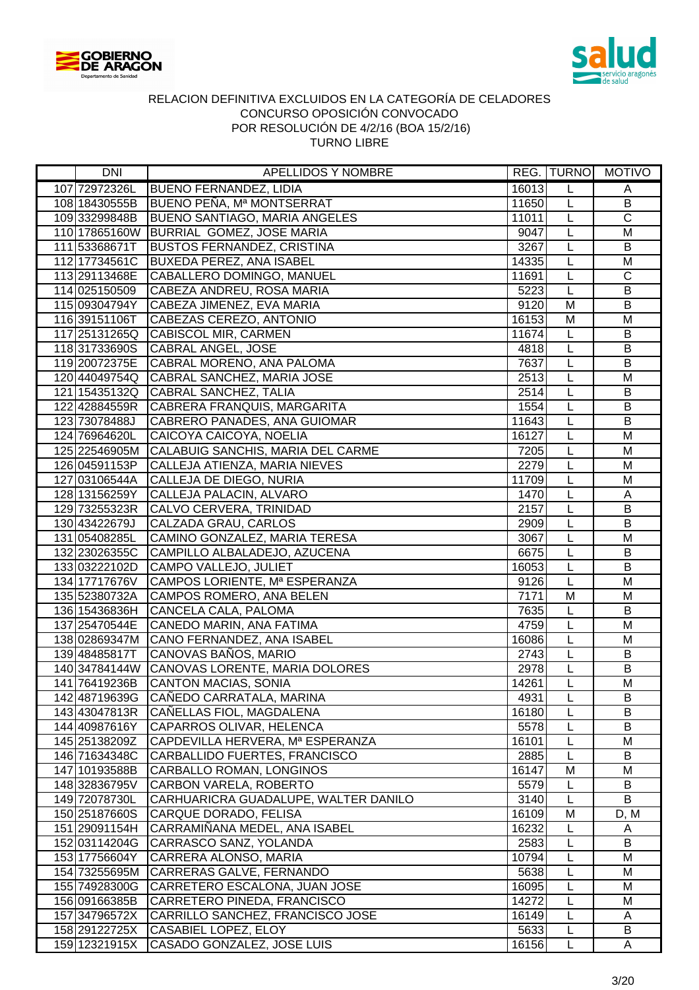



| <b>DNI</b>    | APELLIDOS Y NOMBRE                                                             |               |                | REG. TURNO MOTIVO       |
|---------------|--------------------------------------------------------------------------------|---------------|----------------|-------------------------|
| 107 72972326L | <b>BUENO FERNANDEZ, LIDIA</b>                                                  | 16013         | L              | A                       |
| 108 18430555B | BUENO PEÑA, Mª MONTSERRAT                                                      | 11650         | L              | $\overline{B}$          |
| 10933299848B  | <b>BUENO SANTIAGO, MARIA ANGELES</b>                                           | 11011         | L              | $\overline{\mathsf{C}}$ |
|               | 110 17865160W BURRIAL GOMEZ, JOSE MARIA                                        | 9047          | L              | M                       |
| 111 53368671T | <b>BUSTOS FERNANDEZ, CRISTINA</b>                                              | 3267          | $\overline{L}$ | B                       |
| 11217734561C  | <b>BUXEDA PEREZ, ANA ISABEL</b>                                                | 14335         | L              | M                       |
|               | 113 29113468E CABALLERO DOMINGO, MANUEL                                        | 11691         | L              | $\overline{C}$          |
| 114 025150509 | CABEZA ANDREU, ROSA MARIA                                                      | 5223          | L              | B                       |
| 115 09304794Y | CABEZA JIMENEZ, EVA MARIA                                                      | 9120          | M              | B                       |
| 116 39151106T | CABEZAS CEREZO, ANTONIO                                                        | 16153         | M              | M                       |
| 117 25131265Q | CABISCOL MIR, CARMEN                                                           | 11674         | L              | $\sf B$                 |
| 11831733690S  | <b>CABRAL ANGEL, JOSE</b>                                                      | 4818          | L              | $\sf B$                 |
| 119 20072375E | CABRAL MORENO, ANA PALOMA                                                      | 7637          | L              | B                       |
| 120 44049754Q | CABRAL SANCHEZ, MARIA JOSE                                                     | 2513          | L              | M                       |
|               | 121 15435132Q CABRAL SANCHEZ, TALIA                                            | 2514          | L              | $\sf B$                 |
|               | 122 42884559R CABRERA FRANQUIS, MARGARITA                                      | 1554          | L              | B                       |
| 123 73078488J | CABRERO PANADES, ANA GUIOMAR                                                   | 11643         | L              | $\overline{B}$          |
| 124 76964620L | CAICOYA CAICOYA, NOELIA                                                        | 16127         | L              | M                       |
|               | 125 22546905M CALABUIG SANCHIS, MARIA DEL CARME                                | 7205          | L              | M                       |
| 126 04591153P | CALLEJA ATIENZA, MARIA NIEVES                                                  | 2279          | L              | M                       |
| 127 03106544A | CALLEJA DE DIEGO, NURIA                                                        | 11709         | $\overline{L}$ | M                       |
| 128 13156259Y | CALLEJA PALACIN, ALVARO                                                        | 1470          | L              | A                       |
| 129 73255323R | CALVO CERVERA, TRINIDAD                                                        | 2157          | L              | B                       |
| 130 43422679J | CALZADA GRAU, CARLOS                                                           | 2909          | L              | $\sf B$                 |
| 131 05408285L | CAMINO GONZALEZ, MARIA TERESA                                                  | 3067          | $\overline{L}$ | $\overline{M}$          |
| 132 23026355C | CAMPILLO ALBALADEJO, AZUCENA                                                   | 6675          | $\overline{L}$ | $\overline{B}$          |
| 133 03222102D | CAMPO VALLEJO, JULIET                                                          | 16053         | $\overline{L}$ | $\overline{B}$          |
| 134 17717676V | CAMPOS LORIENTE, Mª ESPERANZA                                                  | 9126          | $\overline{L}$ | M                       |
| 135 52380732A | CAMPOS ROMERO, ANA BELEN                                                       | 7171          | $\overline{M}$ | M                       |
| 136 15436836H | CANCELA CALA, PALOMA                                                           | 7635          | L              | $\overline{B}$          |
| 137 25470544E | CANEDO MARIN, ANA FATIMA                                                       | 4759          | L              | M                       |
| 138 02869347M | CANO FERNANDEZ, ANA ISABEL                                                     | 16086         | L              | M                       |
| 139 48485817T | CANOVAS BAÑOS, MARIO                                                           | 2743          | L              | B                       |
|               | 140 34784144W CANOVAS LORENTE, MARIA DOLORES                                   | 2978          | L              | B                       |
| 141 76419236B | <b>CANTON MACIAS, SONIA</b>                                                    | 14261         | L              | M                       |
| 142 48719639G | CAÑEDO CARRATALA, MARINA                                                       | 4931          | L              | B                       |
| 143 43047813R | CANELLAS FIOL, MAGDALENA                                                       | 16180         | L              | B                       |
| 144 40987616Y | CAPARROS OLIVAR, HELENCA                                                       | 5578          | L              | B                       |
| 145 25138209Z | CAPDEVILLA HERVERA, Mª ESPERANZA                                               | 16101         | L              | M                       |
| 146 71634348C | CARBALLIDO FUERTES, FRANCISCO                                                  | 2885          | L              | B                       |
| 147 10193588B | CARBALLO ROMAN, LONGINOS                                                       | 16147         | M              | M                       |
| 148 32836795V | CARBON VARELA, ROBERTO                                                         | 5579          | L              | B                       |
| 149 72078730L | CARHUARICRA GUADALUPE, WALTER DANILO                                           | 3140          | L              | B                       |
| 150 25187660S | CARQUE DORADO, FELISA                                                          | 16109         | M              | D, M                    |
| 151 29091154H | CARRAMIÑANA MEDEL, ANA ISABEL                                                  | 16232         | L              | A                       |
| 152 03114204G | CARRASCO SANZ, YOLANDA                                                         | 2583          | L              | B                       |
| 153 17756604Y | CARRERA ALONSO, MARIA                                                          | 10794         | L              | M                       |
| 154 73255695M | CARRERAS GALVE, FERNANDO                                                       | 5638          | L              | M                       |
| 155 74928300G | CARRETERO ESCALONA, JUAN JOSE                                                  | 16095         | L              | M                       |
| 156 09166385B | CARRETERO PINEDA, FRANCISCO                                                    | 14272         | L              | M                       |
| 157 34796572X | CARRILLO SANCHEZ, FRANCISCO JOSE                                               | 16149<br>5633 | L<br>L         | A<br>B                  |
|               | 158 29122725X CASABIEL LOPEZ, ELOY<br>159 12321915X CASADO GONZALEZ, JOSE LUIS | 16156         | L              | A                       |
|               |                                                                                |               |                |                         |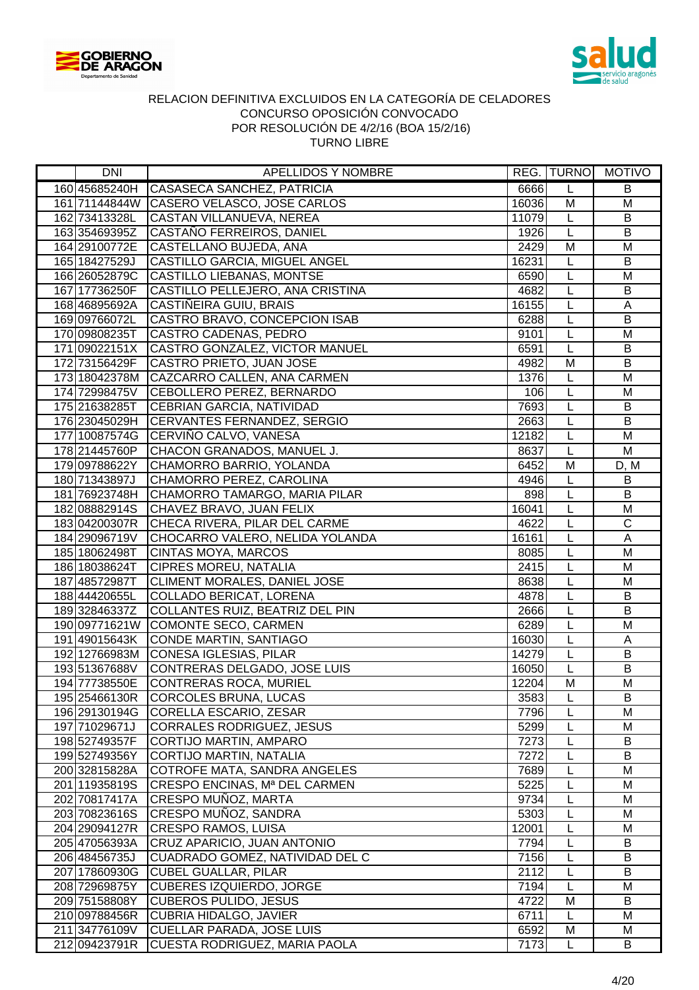



| DNI                            | APELLIDOS Y NOMBRE                                        |               |        | REG.  TURNO   MOTIVO |
|--------------------------------|-----------------------------------------------------------|---------------|--------|----------------------|
| 160 45685240H                  | CASASECA SANCHEZ, PATRICIA                                | 6666          | L      | B                    |
|                                | 161 71144844W CASERO VELASCO, JOSE CARLOS                 | 16036         | M      | M                    |
| 162 73413328L                  | CASTAN VILLANUEVA, NEREA                                  | 11079         | L      | B                    |
| 163 35469395Z                  | CASTAÑO FERREIROS, DANIEL                                 | 1926          | L      | B                    |
| 164 29100772E                  | CASTELLANO BUJEDA, ANA                                    | 2429          | M      | M                    |
| 165 18427529J                  | CASTILLO GARCIA, MIGUEL ANGEL                             | 16231         | L      | B                    |
| 166 26052879C                  | CASTILLO LIEBANAS, MONTSE                                 | 6590          | L      | M                    |
| 167 17736250F                  | CASTILLO PELLEJERO, ANA CRISTINA                          | 4682          | L      | B                    |
| 168 46895692A                  | CASTIÑEIRA GUIU, BRAIS                                    | 16155         | L      | A                    |
| 169 09766072L                  | CASTRO BRAVO, CONCEPCION ISAB                             | 6288          | L      | B                    |
| 170 09808235T                  | CASTRO CADENAS, PEDRO                                     | 9101          | L      | M                    |
| 171 09022151X                  | CASTRO GONZALEZ, VICTOR MANUEL                            | 6591          | L      | $\sf B$              |
| 172 73156429F                  | CASTRO PRIETO, JUAN JOSE                                  | 4982          | M      | $\overline{B}$       |
| 173 18042378M                  | CAZCARRO CALLEN, ANA CARMEN                               | 1376          | L      | M                    |
| 174 72998475V                  | CEBOLLERO PEREZ, BERNARDO                                 | 106           | L      | M                    |
| 175 21638285T                  | CEBRIAN GARCIA, NATIVIDAD                                 | 7693          | L      | $\sf B$              |
| 176 23045029H                  | CERVANTES FERNANDEZ, SERGIO                               | 2663          | L      | B                    |
|                                | 177 10087574G CERVIÑO CALVO, VANESA                       | 12182         | L      | M                    |
| 178 21445760P                  | CHACON GRANADOS, MANUEL J.                                | 8637          | L      | M                    |
| 179 09788622Y                  | CHAMORRO BARRIO, YOLANDA                                  | 6452          | M      | D, M                 |
| 180 71343897J                  | CHAMORRO PEREZ, CAROLINA                                  | 4946          | L      | B                    |
| 181 76923748H                  | CHAMORRO TAMARGO, MARIA PILAR                             | 898           | L      | B                    |
| 182 08882914S                  | CHAVEZ BRAVO, JUAN FELIX                                  | 16041         | L      | M                    |
| 18304200307R                   | CHECA RIVERA, PILAR DEL CARME                             | 4622          | L      | $\overline{C}$       |
| 184 29096719V                  | CHOCARRO VALERO, NELIDA YOLANDA                           | 16161         | L      | $\overline{A}$       |
| 185 18062498T                  | <b>CINTAS MOYA, MARCOS</b>                                | 8085          | L      | M                    |
| 186 18038624T                  | <b>CIPRES MOREU, NATALIA</b>                              | 2415          | L      | $\overline{M}$       |
| 187 48572987T                  | CLIMENT MORALES, DANIEL JOSE                              | 8638          | L      | M                    |
| 188 44420655L                  | <b>COLLADO BERICAT, LORENA</b>                            | 4878          | L      | $\overline{B}$       |
| 189 32846337Z                  | COLLANTES RUIZ, BEATRIZ DEL PIN                           | 2666          | L      | $\overline{B}$       |
| 190 09771621W                  | <b>COMONTE SECO, CARMEN</b>                               | 6289          | L      | $\overline{M}$       |
| 191 49015643K                  | CONDE MARTIN, SANTIAGO                                    | 16030         | L      | A                    |
| 192 12766983M                  | CONESA IGLESIAS, PILAR                                    | 14279         | L      | B                    |
| 193 51367688V                  | CONTRERAS DELGADO, JOSE LUIS                              | 16050         | L      | B                    |
| 194 77738550E                  | CONTRERAS ROCA, MURIEL                                    | 12204         | M      | M                    |
| 195 25466130R                  | CORCOLES BRUNA, LUCAS                                     | 3583          | L      | B                    |
| 196 29130194G                  | <b>CORELLA ESCARIO, ZESAR</b>                             | 7796          | L      | M                    |
| 197 71029671J                  | <b>CORRALES RODRIGUEZ, JESUS</b>                          | 5299          | L      | M                    |
| 198 52749357F                  | CORTIJO MARTIN, AMPARO                                    | 7273          |        | B                    |
| 199 52749356Y                  | CORTIJO MARTIN, NATALIA                                   | 7272          | L      | B                    |
| 200 32815828A                  | COTROFE MATA, SANDRA ANGELES                              | 7689          | L      | M                    |
| 201 11935819S                  | CRESPO ENCINAS, Mª DEL CARMEN                             | 5225          | L      | M                    |
| 202 70817417A                  | CRESPO MUÑOZ, MARTA                                       | 9734          | L      | M<br>M               |
| 203 70823616S                  | CRESPO MUÑOZ, SANDRA                                      | 5303          | L      | M                    |
| 204 29094127R<br>205 47056393A | <b>CRESPO RAMOS, LUISA</b><br>CRUZ APARICIO, JUAN ANTONIO | 12001<br>7794 | L      | B                    |
| 206 48456735J                  | CUADRADO GOMEZ, NATIVIDAD DEL C                           | 7156          | L      | B                    |
| 207 17860930G                  | <b>CUBEL GUALLAR, PILAR</b>                               | 2112          | L<br>L | B                    |
| 208 72969875Y                  | <b>CUBERES IZQUIERDO, JORGE</b>                           | 7194          | L      | M                    |
| 209 75158808Y                  | <b>CUBEROS PULIDO, JESUS</b>                              | 4722          | M      | B                    |
| 210 09788456R                  | <b>CUBRIA HIDALGO, JAVIER</b>                             | 6711          | L      | M                    |
| 211 34776109V                  | <b>CUELLAR PARADA, JOSE LUIS</b>                          | 6592          | M      | M                    |
| 212 09423791R                  | CUESTA RODRIGUEZ, MARIA PAOLA                             | 7173          | L      | B                    |
|                                |                                                           |               |        |                      |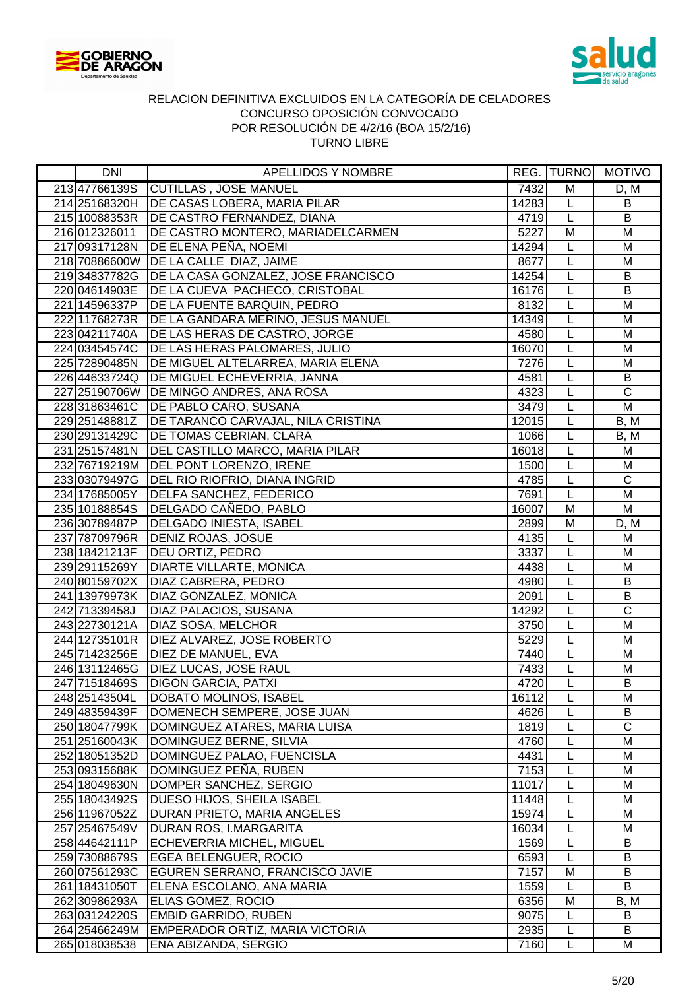



| DNI                            | APELLIDOS Y NOMBRE                                                             |              |                | REG. TURNO MOTIVO     |
|--------------------------------|--------------------------------------------------------------------------------|--------------|----------------|-----------------------|
| 21347766139S                   | <b>CUTILLAS, JOSE MANUEL</b>                                                   | 7432         | M              | D, M                  |
| 214 25168320H                  | DE CASAS LOBERA, MARIA PILAR                                                   | 14283        | L              | $\overline{B}$        |
|                                | 215 10088353R   DE CASTRO FERNANDEZ, DIANA                                     | 4719         | L              | B                     |
| 216 012326011                  | DE CASTRO MONTERO, MARIADELCARMEN                                              | 5227         | M              | M                     |
|                                | 217 09317128N DE ELENA PEÑA, NOEMI                                             | 14294        | L              | M                     |
|                                | 218 70886600W DE LA CALLE DIAZ, JAIME                                          | 8677         | $\overline{L}$ | M                     |
|                                | 219 34837782G   DE LA CASA GONZALEZ, JOSE FRANCISCO                            | 14254        | L              | $\sf B$               |
|                                | 220 04614903E DE LA CUEVA PACHECO, CRISTOBAL                                   | 16176        | L              | B                     |
| 221 14596337P                  | DE LA FUENTE BARQUIN, PEDRO                                                    | 8132         | L              | M                     |
| 222 11768273R                  | DE LA GANDARA MERINO, JESUS MANUEL                                             | 14349        | $\overline{L}$ | $\overline{M}$        |
| 223 04211740A                  | DE LAS HERAS DE CASTRO, JORGE                                                  | 4580         | L              | M                     |
| 224 03454574C                  | DE LAS HERAS PALOMARES, JULIO                                                  | 16070        | L              | M                     |
| 225 72890485N                  | DE MIGUEL ALTELARREA, MARIA ELENA                                              | 7276         | L              | M                     |
| 226 44633724Q                  | DE MIGUEL ECHEVERRIA, JANNA                                                    | 4581         | L              | $\sf B$               |
|                                | 227 25190706W DE MINGO ANDRES, ANA ROSA                                        | 4323         | L              | $\overline{C}$        |
| 22831863461C                   | DE PABLO CARO, SUSANA                                                          | 3479         | L              | $\overline{M}$        |
| 229 25148881Z                  | DE TARANCO CARVAJAL, NILA CRISTINA                                             | 12015        | L              | B, M                  |
|                                | 230 29131429C   DE TOMAS CEBRIAN, CLARA                                        | 1066         | L              | B, M                  |
| 231 25157481N                  | DEL CASTILLO MARCO, MARIA PILAR                                                | 16018        | L              | M                     |
|                                | 232 76719219M DEL PONT LORENZO, IRENE                                          | 1500         | L              | M                     |
|                                | 233 03079497G   DEL RIO RIOFRIO, DIANA INGRID                                  | 4785         | L              | $\overline{C}$        |
| 234 17685005Y                  | <b>DELFA SANCHEZ, FEDERICO</b>                                                 | 7691         | $\overline{L}$ | M                     |
| 235 10188854S                  | DELGADO CAÑEDO, PABLO                                                          | 16007        | M              | M                     |
| 236 30789487P                  | <b>DELGADO INIESTA, ISABEL</b>                                                 | 2899         | M              | D, M                  |
|                                | 237 78709796R DENIZ ROJAS, JOSUE                                               | 4135         | $\overline{L}$ | M                     |
| 238 18421213F                  | <b>DEU ORTIZ, PEDRO</b>                                                        | 3337         | $\overline{L}$ | $\overline{M}$        |
| 239 29115269Y                  | <b>DIARTE VILLARTE, MONICA</b>                                                 | 4438         | $\overline{L}$ | M                     |
| 240 80159702X                  | <b>DIAZ CABRERA, PEDRO</b>                                                     | 4980         | $\overline{L}$ | $\overline{B}$        |
| 241 13979973K                  | <b>DIAZ GONZALEZ, MONICA</b>                                                   | 2091         | L              | $\overline{B}$        |
| 242 71339458J                  | <b>DIAZ PALACIOS, SUSANA</b>                                                   | 14292        | L              | $\overline{\text{c}}$ |
| 243 22730121A                  | <b>DIAZ SOSA, MELCHOR</b>                                                      | 3750         | L              | $\overline{M}$        |
| 244 12735101R                  | DIEZ ALVAREZ, JOSE ROBERTO                                                     | 5229         | L              | M                     |
| 245 71423256E                  | DIEZ DE MANUEL, EVA                                                            | 7440         | L              | M                     |
|                                | 246 13112465G   DIEZ LUCAS, JOSE RAUL                                          | 7433         | L              | M                     |
| 247 71518469S                  | <b>DIGON GARCIA, PATXI</b>                                                     | 4720         | $\overline{L}$ | $\overline{B}$        |
| 248 25143504L                  | DOBATO MOLINOS, ISABEL                                                         | 16112        | L              | M                     |
| 249 48359439F                  | DOMENECH SEMPERE, JOSE JUAN                                                    | 4626         | L              | B                     |
| 250 18047799K                  | DOMINGUEZ ATARES, MARIA LUISA                                                  | 1819         | L              | $\mathsf{C}$          |
| 251 25160043K                  | DOMINGUEZ BERNE, SILVIA                                                        | 4760         | L              | M                     |
| 252 18051352D                  | DOMINGUEZ PALAO, FUENCISLA                                                     | 4431         | L              | M                     |
| 253 09315688K                  | DOMINGUEZ PEÑA, RUBEN                                                          | 7153         | L              | M                     |
| 254 18049630N                  | DOMPER SANCHEZ, SERGIO                                                         | 11017        | L              | M                     |
| 255 18043492S                  | <b>DUESO HIJOS, SHEILA ISABEL</b>                                              | 11448        | L              | M                     |
| 256 11967052Z                  | DURAN PRIETO, MARIA ANGELES                                                    | 15974        | L              | M                     |
| 257 25467549V                  | <b>DURAN ROS, I.MARGARITA</b>                                                  | 16034        | L              | M                     |
| 258 44642111P                  | <b>ECHEVERRIA MICHEL, MIGUEL</b>                                               | 1569         | L              | B                     |
| 259 73088679S                  | <b>EGEA BELENGUER, ROCIO</b>                                                   | 6593         | L              | B                     |
| 260 07561293C                  | EGUREN SERRANO, FRANCISCO JAVIE                                                | 7157         | Μ              | B<br>B                |
| 261 18431050T                  | ELENA ESCOLANO, ANA MARIA                                                      | 1559<br>6356 | L              |                       |
| 262 30986293A<br>263 03124220S | <b>ELIAS GOMEZ, ROCIO</b>                                                      | 9075         | M<br>L         | B, M<br>B             |
|                                | <b>EMBID GARRIDO, RUBEN</b><br>264 254 66249 M EMPERADOR ORTIZ, MARIA VICTORIA | 2935         | L              | B                     |
| 265 018038538                  | <b>ENA ABIZANDA, SERGIO</b>                                                    | 7160         | Г              | M                     |
|                                |                                                                                |              |                |                       |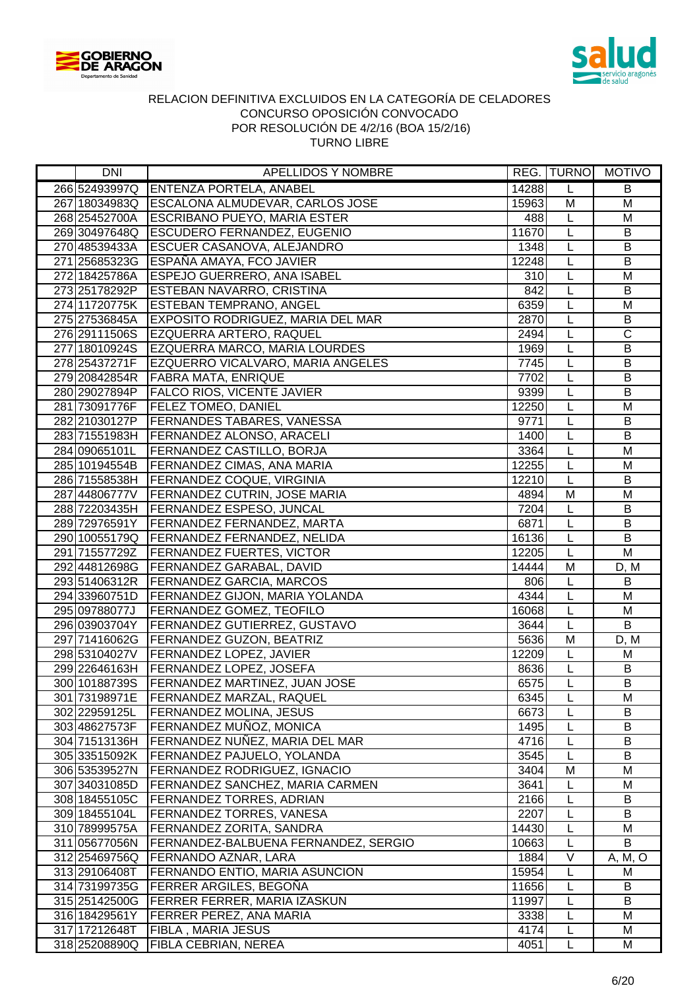



| DNI           | APELLIDOS Y NOMBRE                            |       |                         | REG.  TURNO   MOTIVO    |
|---------------|-----------------------------------------------|-------|-------------------------|-------------------------|
| 266 52493997Q | <b>ENTENZA PORTELA, ANABEL</b>                | 14288 | L                       | B                       |
|               | 267 18034983Q ESCALONA ALMUDEVAR, CARLOS JOSE | 15963 | M                       | $\overline{M}$          |
| 268 25452700A | <b>ESCRIBANO PUEYO, MARIA ESTER</b>           | 488   | L                       | M                       |
|               | 269 30497648Q ESCUDERO FERNANDEZ, EUGENIO     | 11670 | L                       | B                       |
| 270 48539433A | <b>ESCUER CASANOVA, ALEJANDRO</b>             | 1348  | L                       | B                       |
|               | 271 25685323G ESPAÑA AMAYA, FCO JAVIER        | 12248 | $\overline{L}$          | $\sf B$                 |
| 272 18425786A | <b>ESPEJO GUERRERO, ANA ISABEL</b>            | 310   | L                       | M                       |
| 273 25178292P | <b>ESTEBAN NAVARRO, CRISTINA</b>              | 842   | L                       | B                       |
| 274 11720775K | <b>ESTEBAN TEMPRANO, ANGEL</b>                | 6359  | L                       | M                       |
| 275 27536845A | <b>EXPOSITO RODRIGUEZ, MARIA DEL MAR</b>      | 2870  | $\overline{L}$          | B                       |
| 276 29111506S | EZQUERRA ARTERO, RAQUEL                       | 2494  | L                       | $\overline{C}$          |
| 277 18010924S | EZQUERRA MARCO, MARIA LOURDES                 | 1969  | L                       | $\overline{B}$          |
| 278 25437271F | EZQUERRO VICALVARO, MARIA ANGELES             | 7745  | L                       | B                       |
| 279 20842854R | <b>FABRA MATA, ENRIQUE</b>                    | 7702  | L                       | $\sf B$                 |
| 280 29027894P | <b>FALCO RIOS, VICENTE JAVIER</b>             | 9399  | L                       | $\sf B$                 |
| 281 73091776F | <b>FELEZ TOMEO, DANIEL</b>                    | 12250 | L                       | M                       |
| 282 21030127P | <b>FERNANDES TABARES, VANESSA</b>             | 9771  | L                       | B                       |
| 283 71551983H | <b>FERNANDEZ ALONSO, ARACELI</b>              | 1400  | L                       | $\overline{B}$          |
| 284 09065101L | <b>FERNANDEZ CASTILLO, BORJA</b>              | 3364  | L                       | M                       |
| 285 10194554B | <b>FERNANDEZ CIMAS, ANA MARIA</b>             | 12255 | L                       | M                       |
|               | 286 71558538H FERNANDEZ COQUE, VIRGINIA       | 12210 | L                       | B                       |
| 287 44806777V | <b>FERNANDEZ CUTRIN, JOSE MARIA</b>           | 4894  | M                       | M                       |
|               | 288 72203435H   FERNANDEZ ESPESO, JUNCAL      | 7204  | L                       | $\sf B$                 |
|               | 289 72976591Y   FERNANDEZ FERNANDEZ, MARTA    | 6871  | L                       | B                       |
|               | 290 10055179Q   FERNANDEZ FERNANDEZ, NELIDA   | 16136 | L                       | $\overline{B}$          |
| 291 71557729Z | <b>FERNANDEZ FUERTES, VICTOR</b>              | 12205 | $\overline{L}$          | $\overline{\mathsf{M}}$ |
|               | 292 44812698G FERNANDEZ GARABAL, DAVID        | 14444 | $\overline{\mathsf{M}}$ | D, M                    |
| 293 51406312R | <b>FERNANDEZ GARCIA, MARCOS</b>               | 806   | L                       | B                       |
| 294 33960751D | <b>FERNANDEZ GIJON, MARIA YOLANDA</b>         | 4344  | $\overline{L}$          | M                       |
| 295 09788077J | <b>FERNANDEZ GOMEZ, TEOFILO</b>               | 16068 | L                       | M                       |
| 296 03903704Y | <b>FERNANDEZ GUTIERREZ, GUSTAVO</b>           | 3644  | $\overline{L}$          | $\overline{B}$          |
| 297 71416062G | <b>FERNANDEZ GUZON, BEATRIZ</b>               | 5636  | M                       | D, M                    |
| 298 53104027V | <b>FERNANDEZ LOPEZ, JAVIER</b>                | 12209 | L                       | M                       |
|               | 299 22646163H   FERNANDEZ LOPEZ, JOSEFA       | 8636  | L                       | B                       |
|               | 300 10188739S FERNANDEZ MARTINEZ, JUAN JOSE   | 6575  | $\overline{L}$          | $\overline{B}$          |
| 301 73198971E | <b>FERNANDEZ MARZAL, RAQUEL</b>               | 6345  | L                       | м                       |
| 302 22959125L | FERNANDEZ MOLINA, JESUS                       | 6673  | L                       | B                       |
| 303 48627573F | FERNANDEZ MUÑOZ, MONICA                       | 1495  | L                       | B                       |
| 304 71513136H | FERNANDEZ NUÑEZ, MARIA DEL MAR                | 4716  | L                       | B                       |
| 305 33515092K | FERNANDEZ PAJUELO, YOLANDA                    | 3545  | L                       | B                       |
| 306 53539527N | <b>FERNANDEZ RODRIGUEZ, IGNACIO</b>           | 3404  | M                       | M                       |
| 307 34031085D | <b>FERNANDEZ SANCHEZ, MARIA CARMEN</b>        | 3641  | L                       | M                       |
| 308 18455105C | <b>FERNANDEZ TORRES, ADRIAN</b>               | 2166  | L                       | B                       |
| 309 18455104L | <b>FERNANDEZ TORRES, VANESA</b>               | 2207  | L                       | B                       |
| 310 78999575A | FERNANDEZ ZORITA, SANDRA                      | 14430 | L                       | M                       |
| 311 05677056N | FERNANDEZ-BALBUENA FERNANDEZ, SERGIO          | 10663 | L                       | B                       |
| 312 25469756Q | FERNANDO AZNAR, LARA                          | 1884  | V                       | A, M, O                 |
| 313 29106408T | FERNANDO ENTIO, MARIA ASUNCION                | 15954 | L                       | M                       |
| 314 73199735G | <b>FERRER ARGILES, BEGOÑA</b>                 | 11656 | L                       | B                       |
|               | 315 25142500G   FERRER FERRER, MARIA IZASKUN  | 11997 | L                       | B                       |
| 316 18429561Y | <b>FERRER PEREZ, ANA MARIA</b>                | 3338  | L                       | M                       |
| 317 17212648T | <b>FIBLA, MARIA JESUS</b>                     | 4174  | L                       | M                       |
| 318 25208890Q | <b>FIBLA CEBRIAN, NEREA</b>                   | 4051  | L                       | M                       |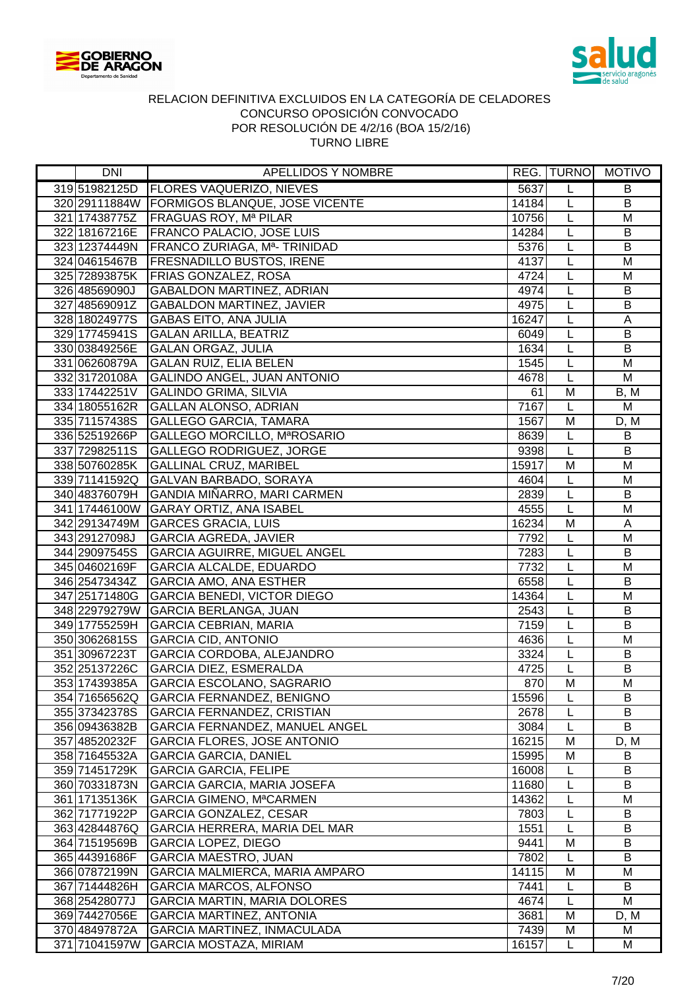



| DNI           | APELLIDOS Y NOMBRE                                      |       |                | REG.  TURNO   MOTIVO |
|---------------|---------------------------------------------------------|-------|----------------|----------------------|
|               | 319 51982125D   FLORES VAQUERIZO, NIEVES                | 5637  | L              | B                    |
|               | 320 29111884W FORMIGOS BLANQUE, JOSE VICENTE            | 14184 | L              | $\overline{B}$       |
|               | 321 17438775Z   FRAGUAS ROY, Mª PILAR                   | 10756 | L              | M                    |
|               | 322 18167216E   FRANCO PALACIO, JOSE LUIS               | 14284 | L              | B                    |
|               | 323 12374449N FRANCO ZURIAGA, M <sup>a</sup> - TRINIDAD | 5376  | L              | B                    |
|               | 324 04615467B   FRESNADILLO BUSTOS, IRENE               | 4137  | $\overline{L}$ | M                    |
|               | 325 72893875K   FRIAS GONZALEZ, ROSA                    | 4724  | L              | M                    |
| 326 48569090J | <b>GABALDON MARTINEZ, ADRIAN</b>                        | 4974  | L              | B                    |
| 327 48569091Z | <b>GABALDON MARTINEZ, JAVIER</b>                        | 4975  | L              | B                    |
| 328 18024977S | <b>GABAS EITO, ANA JULIA</b>                            | 16247 | $\overline{L}$ | A                    |
| 329 17745941S | <b>GALAN ARILLA, BEATRIZ</b>                            | 6049  | L              | $\sf B$              |
| 330 03849256E | <b>GALAN ORGAZ, JULIA</b>                               | 1634  | L              | $\overline{B}$       |
| 331 06260879A | <b>GALAN RUIZ, ELIA BELEN</b>                           | 1545  | L              | M                    |
| 332 31720108A | <b>GALINDO ANGEL, JUAN ANTONIO</b>                      | 4678  | L              | M                    |
| 333 17442251V | <b>GALINDO GRIMA, SILVIA</b>                            | 61    | M              | B, M                 |
| 334 18055162R | <b>GALLAN ALONSO, ADRIAN</b>                            | 7167  | L              | M                    |
| 335 71157438S | <b>GALLEGO GARCIA, TAMARA</b>                           | 1567  | M              | D, M                 |
| 336 52519266P | GALLEGO MORCILLO, MªROSARIO                             | 8639  | L              | $\overline{B}$       |
| 337 72982511S | GALLEGO RODRIGUEZ, JORGE                                | 9398  | L              | $\sf B$              |
|               | 338 50760285K GALLINAL CRUZ, MARIBEL                    | 15917 | M              | M                    |
|               | 339 71141592Q GALVAN BARBADO, SORAYA                    | 4604  | L              | M                    |
| 340 48376079H | GANDIA MIÑARRO, MARI CARMEN                             | 2839  | $\overline{L}$ | B                    |
|               | 341 17446100W GARAY ORTIZ, ANA ISABEL                   | 4555  | L              | M                    |
|               | 342 29134749M GARCES GRACIA, LUIS                       | 16234 | M              | A                    |
| 343 29127098J | <b>GARCIA AGREDA, JAVIER</b>                            | 7792  | $\overline{L}$ | M                    |
| 344 29097545S | <b>GARCIA AGUIRRE, MIGUEL ANGEL</b>                     | 7283  | $\overline{L}$ | $\overline{B}$       |
| 345 04602169F | <b>GARCIA ALCALDE, EDUARDO</b>                          | 7732  | $\overline{L}$ | M                    |
| 346 25473434Z | <b>GARCIA AMO, ANA ESTHER</b>                           | 6558  | $\overline{L}$ | $\overline{B}$       |
| 347 25171480G | <b>GARCIA BENEDI, VICTOR DIEGO</b>                      | 14364 | L              | M                    |
| 348 22979279W | <b>GARCIA BERLANGA, JUAN</b>                            | 2543  | L              | B                    |
| 349 17755259H | <b>GARCIA CEBRIAN, MARIA</b>                            | 7159  | L              | $\overline{B}$       |
| 350 30626815S | <b>GARCIA CID, ANTONIO</b>                              | 4636  | L              | M                    |
| 351 30967223T | GARCIA CORDOBA, ALEJANDRO                               | 3324  | L              | B                    |
|               | 352 25137226C GARCIA DIEZ, ESMERALDA                    | 4725  | L              | B                    |
| 353 17439385A | GARCIA ESCOLANO, SAGRARIO                               | 870   | M              | M                    |
| 354 71656562Q | <b>GARCIA FERNANDEZ, BENIGNO</b>                        | 15596 | L              | В                    |
| 355 37342378S | <b>GARCIA FERNANDEZ, CRISTIAN</b>                       | 2678  | L              | B                    |
| 356 09436382B | GARCIA FERNANDEZ, MANUEL ANGEL                          | 3084  | L              | B                    |
| 357 48520232F | <b>GARCIA FLORES, JOSE ANTONIO</b>                      | 16215 | M              | D, M                 |
| 358 71645532A | <b>GARCIA GARCIA, DANIEL</b>                            | 15995 | M              | B                    |
| 359 71451729K | <b>GARCIA GARCIA, FELIPE</b>                            | 16008 | L              | B                    |
| 360 70331873N | <b>GARCIA GARCIA, MARIA JOSEFA</b>                      | 11680 | L              | B                    |
| 361 17135136K | <b>GARCIA GIMENO, MªCARMEN</b>                          | 14362 | L              | M                    |
| 362 71771922P | <b>GARCIA GONZALEZ, CESAR</b>                           | 7803  | L              | B                    |
| 363 42844876Q | GARCIA HERRERA, MARIA DEL MAR                           | 1551  | L              | B                    |
| 364 71519569B | <b>GARCIA LOPEZ, DIEGO</b>                              | 9441  | M              | B                    |
| 365 44391686F | <b>GARCIA MAESTRO, JUAN</b>                             | 7802  | L              | B                    |
| 366 07872199N | GARCIA MALMIERCA, MARIA AMPARO                          | 14115 | Μ              | M                    |
| 367 71444826H | <b>GARCIA MARCOS, ALFONSO</b>                           | 7441  | L              | B                    |
| 368 25428077J | <b>GARCIA MARTIN, MARIA DOLORES</b>                     | 4674  | L              | М                    |
| 369 74427056E | <b>GARCIA MARTINEZ, ANTONIA</b>                         | 3681  | M              | D, M                 |
| 370 48497872A | GARCIA MARTINEZ, INMACULADA                             | 7439  | M              | M                    |
| 371 71041597W | <b>GARCIA MOSTAZA, MIRIAM</b>                           | 16157 | L              | М                    |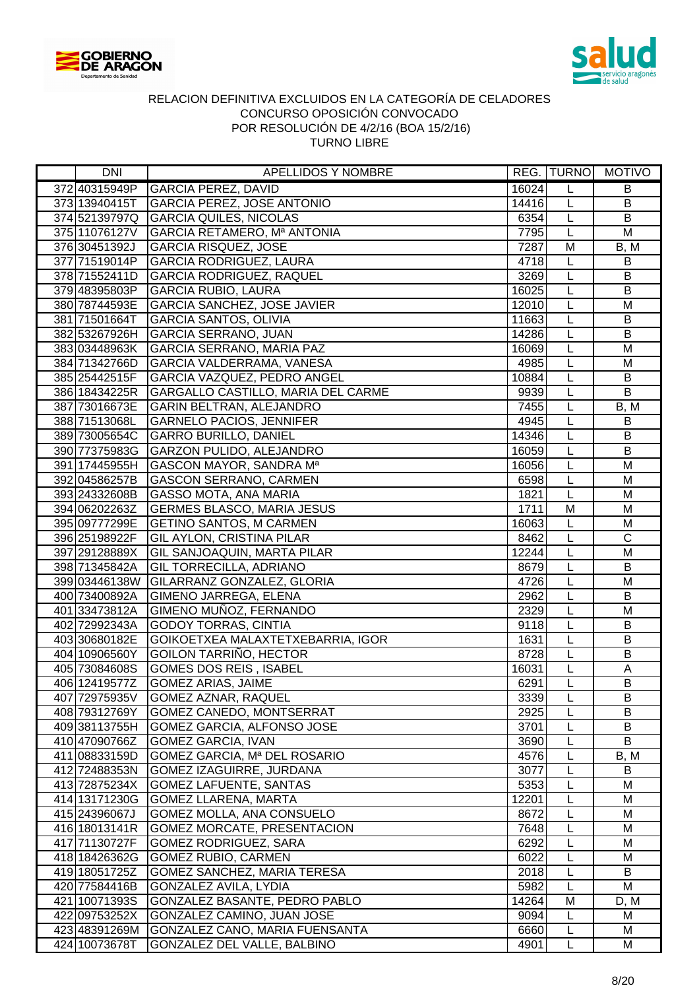



| DNI           | APELLIDOS Y NOMBRE                           |       |                | REG. TURNO MOTIVO     |
|---------------|----------------------------------------------|-------|----------------|-----------------------|
| 372 40315949P | <b>GARCIA PEREZ, DAVID</b>                   | 16024 | L              | B                     |
| 373 13940415T | <b>GARCIA PEREZ, JOSE ANTONIO</b>            | 14416 | L              | $\overline{B}$        |
|               | 374 52139797Q GARCIA QUILES, NICOLAS         | 6354  | L              | B                     |
| 375 11076127V | GARCIA RETAMERO, Mª ANTONIA                  | 7795  | L              | M                     |
| 376 30451392J | <b>GARCIA RISQUEZ, JOSE</b>                  | 7287  | M              | B, M                  |
| 377 71519014P | <b>GARCIA RODRIGUEZ, LAURA</b>               | 4718  | $\overline{L}$ | $\sf B$               |
| 378 71552411D | <b>GARCIA RODRIGUEZ, RAQUEL</b>              | 3269  | L              | $\sf B$               |
| 379 48395803P | <b>GARCIA RUBIO, LAURA</b>                   | 16025 | L              | B                     |
| 380 78744593E | GARCIA SANCHEZ, JOSE JAVIER                  | 12010 | L              | M                     |
| 381 71501664T | <b>GARCIA SANTOS, OLIVIA</b>                 | 11663 | $\overline{L}$ | B                     |
| 382 53267926H | <b>GARCIA SERRANO, JUAN</b>                  | 14286 | L              | $\sf B$               |
| 383 03448963K | GARCIA SERRANO, MARIA PAZ                    | 16069 | L              | M                     |
| 384 71342766D | <b>GARCIA VALDERRAMA, VANESA</b>             | 4985  | L              | M                     |
| 385 25442515F | GARCIA VAZQUEZ, PEDRO ANGEL                  | 10884 | L              | B                     |
| 386 18434225R | <b>GARGALLO CASTILLO, MARIA DEL CARME</b>    | 9939  | L              | B                     |
| 387 73016673E | <b>GARIN BELTRAN, ALEJANDRO</b>              | 7455  | L              | B, M                  |
| 388 71513068L | <b>GARNELO PACIOS, JENNIFER</b>              | 4945  | L              | B                     |
| 389 73005654C | <b>GARRO BURILLO, DANIEL</b>                 | 14346 | L              | B                     |
|               | 390 77375983G GARZON PULIDO, ALEJANDRO       | 16059 | L              | $\sf B$               |
| 391 17445955H | GASCON MAYOR, SANDRA Ma                      | 16056 | L              | M                     |
| 392 04586257B | <b>GASCON SERRANO, CARMEN</b>                | 6598  | L              | M                     |
| 393 24332608B | <b>GASSO MOTA, ANA MARIA</b>                 | 1821  | $\overline{L}$ | M                     |
| 394 06202263Z | <b>GERMES BLASCO, MARIA JESUS</b>            | 1711  | M              | M                     |
| 395 09777299E | <b>GETINO SANTOS, M CARMEN</b>               | 16063 | L              | M                     |
| 396 25198922F | <b>GIL AYLON, CRISTINA PILAR</b>             | 8462  | L              | $\overline{\text{c}}$ |
| 397 29128889X | <b>GIL SANJOAQUIN, MARTA PILAR</b>           | 12244 | $\overline{L}$ | $\overline{M}$        |
| 398 71345842A | <b>GIL TORRECILLA, ADRIANO</b>               | 8679  | $\overline{L}$ | $\overline{B}$        |
| 399 03446138W | GILARRANZ GONZALEZ, GLORIA                   | 4726  | $\overline{L}$ | $\overline{M}$        |
| 400 73400892A | GIMENO JARREGA, ELENA                        | 2962  | L              | B                     |
| 401 33473812A | GIMENO MUÑOZ, FERNANDO                       | 2329  | L              | $\overline{M}$        |
| 402 72992343A | <b>GODOY TORRAS, CINTIA</b>                  | 9118  | L              | B                     |
| 403 30680182E | GOIKOETXEA MALAXTETXEBARRIA, IGOR            | 1631  | L              | $\sf B$               |
| 404 10906560Y | GOILON TARRIÑO, HECTOR                       | 8728  | L              | B                     |
| 405 73084608S | <b>GOMES DOS REIS, ISABEL</b>                | 16031 | L              | Α                     |
| 406 12419577Z | <b>GOMEZ ARIAS, JAIME</b>                    | 6291  | L              | $\overline{B}$        |
| 407 72975935V | <b>GOMEZ AZNAR, RAQUEL</b>                   | 3339  | L              | B                     |
| 408 79312769Y | GOMEZ CANEDO, MONTSERRAT                     | 2925  | L              | B                     |
| 409 38113755H | <b>GOMEZ GARCIA, ALFONSO JOSE</b>            | 3701  | L              | B                     |
| 410 47090766Z | <b>GOMEZ GARCIA, IVAN</b>                    | 3690  | L              | B                     |
| 411 08833159D | GOMEZ GARCIA, Mª DEL ROSARIO                 | 4576  | L              | B, M                  |
| 412 72488353N | <b>GOMEZ IZAGUIRRE, JURDANA</b>              | 3077  | L              | B                     |
| 413 72875234X | <b>GOMEZ LAFUENTE, SANTAS</b>                | 5353  | L              | M                     |
| 414 13171230G | <b>GOMEZ LLARENA, MARTA</b>                  | 12201 | L              | M                     |
| 415 24396067J | GOMEZ MOLLA, ANA CONSUELO                    | 8672  | L              | M                     |
| 416 18013141R | <b>GOMEZ MORCATE, PRESENTACION</b>           | 7648  | L              | M                     |
| 417 71130727F | <b>GOMEZ RODRIGUEZ, SARA</b>                 | 6292  | L              | M                     |
| 418 18426362G | <b>GOMEZ RUBIO, CARMEN</b>                   | 6022  | L              | M                     |
| 419 18051725Z | <b>GOMEZ SANCHEZ, MARIA TERESA</b>           | 2018  | L              | B                     |
| 420 77584416B | <b>GONZALEZ AVILA, LYDIA</b>                 | 5982  | L              | M                     |
| 421 10071393S | GONZALEZ BASANTE, PEDRO PABLO                | 14264 | M              | D, M                  |
| 422 09753252X | GONZALEZ CAMINO, JUAN JOSE                   | 9094  | L              | M                     |
|               | 423 48391269M GONZALEZ CANO, MARIA FUENSANTA | 6660  | L              | M                     |
| 424 10073678T | GONZALEZ DEL VALLE, BALBINO                  | 4901  | L              | М                     |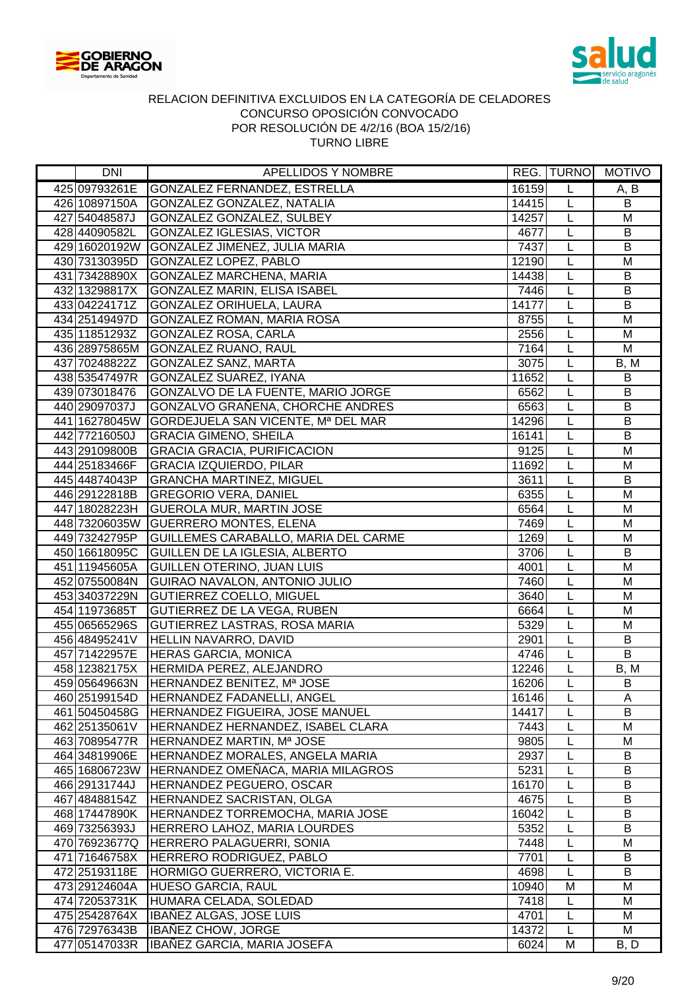



| <b>DNI</b>    | <b>APELLIDOS Y NOMBRE</b>                        |       | <b>REG. TURNO</b> | <b>MOTIVO</b>  |
|---------------|--------------------------------------------------|-------|-------------------|----------------|
| 425 09793261E | GONZALEZ FERNANDEZ, ESTRELLA                     | 16159 | L                 | A, B           |
| 426 10897150A | GONZALEZ GONZALEZ, NATALIA                       | 14415 | L                 | B              |
| 427 54048587J | GONZALEZ GONZALEZ, SULBEY                        | 14257 | L                 | M              |
| 428 44090582L | <b>GONZALEZ IGLESIAS, VICTOR</b>                 | 4677  | L                 | B              |
|               | 429 16020192W GONZALEZ JIMENEZ, JULIA MARIA      | 7437  | L                 | B              |
| 430 73130395D | <b>GONZALEZ LOPEZ, PABLO</b>                     | 12190 | L                 | M              |
| 431 73428890X | <b>GONZALEZ MARCHENA, MARIA</b>                  | 14438 | L                 | B              |
| 432 13298817X | <b>GONZALEZ MARIN, ELISA ISABEL</b>              | 7446  | L                 | B              |
| 433 04224171Z | <b>GONZALEZ ORIHUELA, LAURA</b>                  | 14177 | L                 | B              |
| 434 25149497D | GONZALEZ ROMAN, MARIA ROSA                       | 8755  | L                 | M              |
| 435 11851293Z | GONZALEZ ROSA, CARLA                             | 2556  | L                 | M              |
| 436 28975865M | <b>GONZALEZ RUANO, RAUL</b>                      | 7164  | L                 | M              |
| 437 70248822Z | GONZALEZ SANZ, MARTA                             | 3075  | L                 | B, M           |
| 438 53547497R | GONZALEZ SUAREZ, IYANA                           | 11652 | L                 | B              |
| 439 073018476 | GONZALVO DE LA FUENTE, MARIO JORGE               | 6562  | L                 | B              |
| 440 29097037J | GONZALVO GRAÑENA, CHORCHE ANDRES                 | 6563  | L                 | B              |
|               | 441 16278045W GORDEJUELA SAN VICENTE, Mª DEL MAR | 14296 | L                 | $\overline{B}$ |
| 442 77216050J | <b>GRACIA GIMENO, SHEILA</b>                     | 16141 | L                 | $\sf B$        |
| 443 29109800B | <b>GRACIA GRACIA, PURIFICACION</b>               | 9125  | L                 | M              |
| 444 25183466F | <b>GRACIA IZQUIERDO, PILAR</b>                   | 11692 | L                 | M              |
| 445 44874043P | <b>GRANCHA MARTINEZ, MIGUEL</b>                  | 3611  | L                 | B              |
| 446 29122818B | <b>GREGORIO VERA, DANIEL</b>                     | 6355  | L                 | M              |
| 447 18028223H | <b>GUEROLA MUR, MARTIN JOSE</b>                  | 6564  | L                 | M              |
|               | 448 73206035W GUERRERO MONTES, ELENA             | 7469  | L                 | M              |
| 449 73242795P | GUILLEMES CARABALLO, MARIA DEL CARME             | 1269  | $\overline{L}$    | $\overline{M}$ |
| 450 16618095C | <b>GUILLEN DE LA IGLESIA, ALBERTO</b>            | 3706  | L                 | $\overline{B}$ |
| 451 11945605A | <b>GUILLEN OTERINO, JUAN LUIS</b>                | 4001  | L                 | $\overline{M}$ |
| 452 07550084N | <b>GUIRAO NAVALON, ANTONIO JULIO</b>             | 7460  | L                 | M              |
| 453 34037229N | <b>GUTIERREZ COELLO, MIGUEL</b>                  | 3640  | L                 | M              |
| 454 11973685T | GUTIERREZ DE LA VEGA, RUBEN                      | 6664  | L                 | M              |
| 455 06565296S | GUTIERREZ LASTRAS, ROSA MARIA                    | 5329  | L                 | M              |
| 456 48495241V | HELLIN NAVARRO, DAVID                            | 2901  | L                 | B              |
| 457 71422957E | <b>HERAS GARCIA, MONICA</b>                      | 4746  | L                 | B              |
|               | 458 12382175X HERMIDA PEREZ, ALEJANDRO           | 12246 | L                 | B, M           |
| 459 05649663N | HERNANDEZ BENITEZ, Mª JOSE                       | 16206 | L                 | B              |
| 460 25199154D | HERNANDEZ FADANELLI, ANGEL                       | 16146 | L                 | A              |
| 461 50450458G | HERNANDEZ FIGUEIRA, JOSE MANUEL                  | 14417 | L                 | B              |
| 462 25135061V | HERNANDEZ HERNANDEZ, ISABEL CLARA                | 7443  | L                 | M              |
| 463 70895477R | HERNANDEZ MARTIN, Mª JOSE                        | 9805  | L                 | M              |
| 464 34819906E | HERNANDEZ MORALES, ANGELA MARIA                  | 2937  | L                 | B              |
| 465 16806723W | HERNANDEZ OMEÑACA, MARIA MILAGROS                | 5231  | L                 | B              |
| 466 29131744J | HERNANDEZ PEGUERO, OSCAR                         | 16170 | L                 | B              |
| 467 48488154Z | HERNANDEZ SACRISTAN, OLGA                        | 4675  | L                 | B              |
| 468 17447890K | HERNANDEZ TORREMOCHA, MARIA JOSE                 | 16042 | L                 | B              |
| 469 73256393J | HERRERO LAHOZ, MARIA LOURDES                     | 5352  | L                 | B              |
| 470 76923677Q | HERRERO PALAGUERRI, SONIA                        | 7448  | L                 | M              |
| 471 71646758X | HERRERO RODRIGUEZ, PABLO                         | 7701  | L                 | B              |
| 472 25193118E | HORMIGO GUERRERO, VICTORIA E.                    | 4698  | L                 | B              |
| 473 29124604A | <b>HUESO GARCIA, RAUL</b>                        | 10940 | M                 | M              |
| 474 72053731K | HUMARA CELADA, SOLEDAD                           | 7418  | L                 | M              |
| 475 25428764X | <b>IBANEZ ALGAS, JOSE LUIS</b>                   | 4701  | L                 | M              |
| 476 72976343B | <b>IBANEZ CHOW, JORGE</b>                        | 14372 | L                 | M              |
| 477 05147033R | IBAÑEZ GARCIA, MARIA JOSEFA                      | 6024  | M                 | B, D           |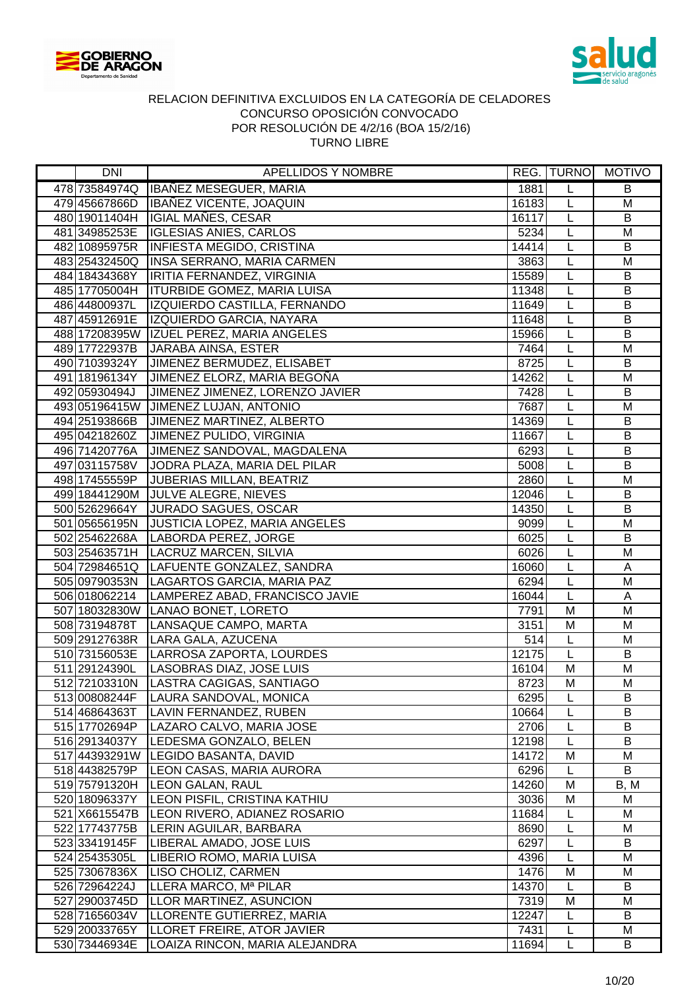



| <b>DNI</b>    | <b>APELLIDOS Y NOMBRE</b>                   |       | <b>REG. TURNO</b>       | <b>MOTIVO</b>  |
|---------------|---------------------------------------------|-------|-------------------------|----------------|
| 478 73584974Q | IBAÑEZ MESEGUER, MARIA                      | 1881  | L                       | B              |
| 479 45667866D | IBAÑEZ VICENTE, JOAQUIN                     | 16183 | L                       | M              |
| 480 19011404H | IGIAL MAÑES, CESAR                          | 16117 | L                       | B              |
| 481 34985253E | <b>IGLESIAS ANIES, CARLOS</b>               | 5234  | L                       | M              |
| 482 10895975R | <b>INFIESTA MEGIDO, CRISTINA</b>            | 14414 | L                       | B              |
| 483 25432450Q | INSA SERRANO, MARIA CARMEN                  | 3863  | L                       | M              |
| 484 18434368Y | IRITIA FERNANDEZ, VIRGINIA                  | 15589 | L                       | B              |
| 485 17705004H | <b>ITURBIDE GOMEZ, MARIA LUISA</b>          | 11348 | L                       | B              |
| 486 44800937L | IZQUIERDO CASTILLA, FERNANDO                | 11649 | L                       | B              |
| 487 45912691E | IZQUIERDO GARCIA, NAYARA                    | 11648 | L                       | B              |
| 488 17208395W | IZUEL PEREZ, MARIA ANGELES                  | 15966 | L                       | $\overline{B}$ |
| 489 17722937B | JARABA AINSA, ESTER                         | 7464  | L                       | M              |
| 490 71039324Y | JIMENEZ BERMUDEZ, ELISABET                  | 8725  | L                       | B              |
| 491 18196134Y | JIMENEZ ELORZ, MARIA BEGOÑA                 | 14262 | L                       | M              |
| 492 05930494J | JIMENEZ JIMENEZ, LORENZO JAVIER             | 7428  | L                       | B              |
|               | 493 05196415W JIMENEZ LUJAN, ANTONIO        | 7687  | L                       | M              |
| 494 25193866B | JIMENEZ MARTINEZ, ALBERTO                   | 14369 | L                       | B              |
|               | 495 04218260Z JIMENEZ PULIDO, VIRGINIA      | 11667 | L                       | $\sf B$        |
| 496 71420776A | JIMENEZ SANDOVAL, MAGDALENA                 | 6293  | L                       | B              |
| 497 03115758V | JODRA PLAZA, MARIA DEL PILAR                | 5008  | L                       | B              |
| 498 17455559P | <b>JUBERIAS MILLAN, BEATRIZ</b>             | 2860  | L                       | M              |
|               | 499 18441290M JULVE ALEGRE, NIEVES          | 12046 | L                       | $\sf B$        |
| 500 52629664Y | <b>JURADO SAGUES, OSCAR</b>                 | 14350 | L                       | B              |
|               | 501 05656195N JUSTICIA LOPEZ, MARIA ANGELES | 9099  | L                       | M              |
|               | 502 25462268A LABORDA PEREZ, JORGE          | 6025  | $\overline{L}$          | $\overline{B}$ |
|               | 503 25463571H   LACRUZ MARCEN, SILVIA       | 6026  | L                       | M              |
|               | 504 72984651Q LAFUENTE GONZALEZ, SANDRA     | 16060 | L                       | A              |
|               | 505 09790353N   LAGARTOS GARCIA, MARIA PAZ  | 6294  | L                       | M              |
| 506 018062214 | LAMPEREZ ABAD, FRANCISCO JAVIE              | 16044 | L                       | A              |
|               | 507 18032830W LANAO BONET, LORETO           | 7791  | $\overline{M}$          | M              |
| 508 73194878T | LANSAQUE CAMPO, MARTA                       | 3151  | $\overline{\mathsf{M}}$ | M              |
| 509 29127638R | LARA GALA, AZUCENA                          | 514   | L                       | M              |
|               | 510 73156053E   LARROSA ZAPORTA, LOURDES    | 12175 | L                       | B              |
| 511 29124390L | LASOBRAS DIAZ, JOSE LUIS                    | 16104 | M                       | M              |
| 512 72103310N | LASTRA CAGIGAS, SANTIAGO                    | 8723  | M                       | M              |
| 513 00808244F | LAURA SANDOVAL, MONICA                      | 6295  | L                       | В              |
| 514 46864363T | LAVIN FERNANDEZ, RUBEN                      | 10664 | L                       | B              |
| 515 17702694P | LAZARO CALVO, MARIA JOSE                    | 2706  | L                       | B              |
| 516 29134037Y | LEDESMA GONZALO, BELEN                      | 12198 | L                       | B              |
|               | 517 44393291W LEGIDO BASANTA, DAVID         | 14172 | M                       | M              |
| 518 44382579P | LEON CASAS, MARIA AURORA                    | 6296  | L                       | B              |
| 519 75791320H | <b>LEON GALAN, RAUL</b>                     | 14260 | M                       | B, M           |
| 520 18096337Y | LEON PISFIL, CRISTINA KATHIU                | 3036  | M                       | M              |
| 521 X6615547B | LEON RIVERO, ADIANEZ ROSARIO                | 11684 | L                       | M              |
| 522 17743775B | LERIN AGUILAR, BARBARA                      | 8690  | L                       | M              |
| 523 33419145F | LIBERAL AMADO, JOSE LUIS                    | 6297  | L                       | B              |
| 524 25435305L | LIBERIO ROMO, MARIA LUISA                   | 4396  | L                       | M              |
| 525 73067836X | LISO CHOLIZ, CARMEN                         | 1476  | M                       | M              |
| 526 72964224J | LLERA MARCO, Mª PILAR                       | 14370 | L                       | B              |
| 527 29003745D | LLOR MARTINEZ, ASUNCION                     | 7319  | M                       | M              |
| 528 71656034V | LLORENTE GUTIERREZ, MARIA                   | 12247 | L                       | B              |
| 529 20033765Y | LLORET FREIRE, ATOR JAVIER                  | 7431  | L                       | M              |
| 530 73446934E | LOAIZA RINCON, MARIA ALEJANDRA              | 11694 | L                       | B              |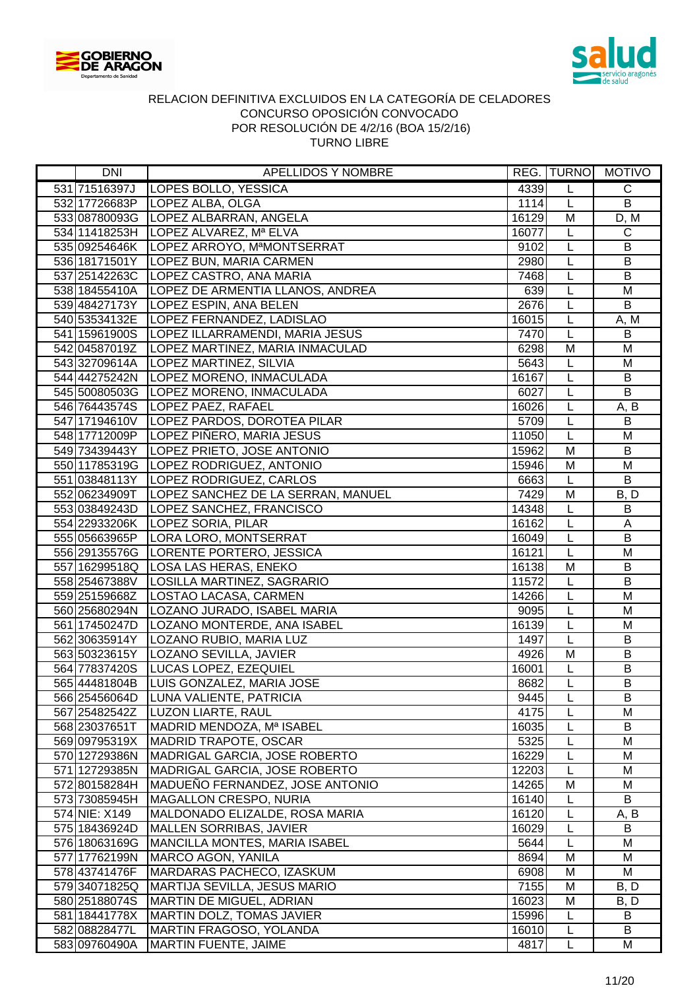



| DNI                            | <b>APELLIDOS Y NOMBRE</b>                          |              |                         | REG. TURNO MOTIVO |
|--------------------------------|----------------------------------------------------|--------------|-------------------------|-------------------|
| 531 71516397J                  | LOPES BOLLO, YESSICA                               | 4339         | L                       | $\mathsf C$       |
|                                | 532 17726683P   LOPEZ ALBA, OLGA                   | 1114         | L                       | B                 |
|                                | 533 08780093G LOPEZ ALBARRAN, ANGELA               | 16129        | M                       | D, M              |
|                                | 534 11418253H   LOPEZ ALVAREZ, Mª ELVA             | 16077        | L                       | $\mathsf{C}$      |
|                                | 535 09254646K   LOPEZ ARROYO, MªMONTSERRAT         | 9102         | L                       | B                 |
|                                | 536 18171501Y   LOPEZ BUN, MARIA CARMEN            | 2980         | L                       | B                 |
|                                | 537 25142263C LOPEZ CASTRO, ANA MARIA              | 7468         | $\overline{L}$          | $\overline{B}$    |
|                                | 538 18455410A LOPEZ DE ARMENTIA LLANOS, ANDREA     | 639          | L                       | M                 |
|                                | 539 48427173Y   LOPEZ ESPIN, ANA BELEN             | 2676         | L                       | B                 |
|                                | 540 53534132E   LOPEZ FERNANDEZ, LADISLAO          | 16015        | L                       | A, M              |
|                                | 541 15961900S   LOPEZ ILLARRAMENDI, MARIA JESUS    | 7470         | $\overline{L}$          | B                 |
|                                | 542 04587019Z   LOPEZ MARTINEZ, MARIA INMACULAD    | 6298         | M                       | M                 |
| 543 32709614A                  | LOPEZ MARTINEZ, SILVIA                             | 5643         | L                       | M                 |
|                                | 544 44275242N   LOPEZ MORENO, INMACULADA           | 16167        | L                       | B                 |
|                                | 545 50080503G   LOPEZ MORENO, INMACULADA           | 6027         | L                       | $\overline{B}$    |
|                                | 546 76443574S   LOPEZ PAEZ, RAFAEL                 | 16026        | L                       | A, B              |
|                                | 547 17194610V LOPEZ PARDOS, DOROTEA PILAR          | 5709         | L                       | $\sf B$           |
|                                | 548 17712009P   LOPEZ PIÑERO, MARIA JESUS          | 11050        | L                       | M                 |
|                                | 549 73439443Y LOPEZ PRIETO, JOSE ANTONIO           | 15962        | M                       | $\overline{B}$    |
|                                | 550 11785319G LOPEZ RODRIGUEZ, ANTONIO             | 15946        | M                       | M                 |
|                                | 551 03848113Y   LOPEZ RODRIGUEZ, CARLOS            | 6663         | L                       | $\overline{B}$    |
|                                | 552 06234909T   LOPEZ SANCHEZ DE LA SERRAN, MANUEL | 7429         | M                       | B, D              |
|                                | 553 03849243D   LOPEZ SANCHEZ, FRANCISCO           | 14348        | $\overline{L}$          | $\overline{B}$    |
|                                | 554 22933206K LOPEZ SORIA, PILAR                   | 16162        | L                       | A                 |
|                                | 555 05663965P LORA LORO, MONTSERRAT                | 16049        | $\overline{L}$          | $\overline{B}$    |
|                                | 556 29135576G LORENTE PORTERO, JESSICA             | 16121        | $\overline{L}$          | M                 |
|                                | 557 16299518Q LOSA LAS HERAS, ENEKO                | 16138        | $\overline{\mathsf{M}}$ | $\overline{B}$    |
|                                | 558 25467388V LOSILLA MARTINEZ, SAGRARIO           | 11572        | $\overline{L}$          | $\overline{B}$    |
|                                | 559 25159668Z   LOSTAO LACASA, CARMEN              | 14266        | L                       | $\overline{M}$    |
|                                | 560 25680294N   LOZANO JURADO, ISABEL MARIA        | 9095         | L                       | M                 |
|                                | 561 17450247D   LOZANO MONTERDE, ANA ISABEL        | 16139        | $\overline{L}$          | M                 |
| 562 30635914Y                  | LOZANO RUBIO, MARIA LUZ                            | 1497         | L                       | B                 |
| 563 50323615Y                  | LOZANO SEVILLA, JAVIER                             | 4926         | M                       | $\sf B$           |
|                                | 564 77837420S   LUCAS LOPEZ, EZEQUIEL              | 16001        | L                       | B                 |
|                                | 565 44481804B   LUIS GONZALEZ, MARIA JOSE          | 8682         | L                       | B                 |
| 566 25456064D                  | LUNA VALIENTE, PATRICIA                            | 9445         | L                       | B                 |
| 567 25482542Z                  | <b>LUZON LIARTE, RAUL</b>                          | 4175         | L                       | M                 |
| 568 23037651T                  | MADRID MENDOZA, Mª ISABEL                          | 16035        | L                       | B                 |
| 569 09795319X                  | MADRID TRAPOTE, OSCAR                              | 5325         | L                       | M                 |
| 570 12729386N                  | MADRIGAL GARCIA, JOSE ROBERTO                      | 16229        | L                       | M                 |
| 571 12729385N                  | MADRIGAL GARCIA, JOSE ROBERTO                      | 12203        | L                       | M                 |
| 572 80158284H                  | MADUEÑO FERNANDEZ, JOSE ANTONIO                    | 14265        | Μ                       | M                 |
| 573 73085945H                  | MAGALLON CRESPO, NURIA                             | 16140        | L                       | B                 |
| 574 NIE: X149                  | MALDONADO ELIZALDE, ROSA MARIA                     | 16120        | L                       | A, B              |
| 575 18436924D                  | MALLEN SORRIBAS, JAVIER                            | 16029        | L                       | B                 |
| 576 18063169G                  | MANCILLA MONTES, MARIA ISABEL                      | 5644<br>8694 | L<br>M                  | M<br>M            |
| 577 17762199N<br>578 43741476F | MARCO AGON, YANILA<br>MARDARAS PACHECO, IZASKUM    | 6908         | M                       | M                 |
| 579 34071825Q                  | MARTIJA SEVILLA, JESUS MARIO                       | 7155         | M                       | B, D              |
| 580 25188074S                  | <b>MARTIN DE MIGUEL, ADRIAN</b>                    | 16023        | Μ                       | B, D              |
| 581 18441778X                  | MARTIN DOLZ, TOMAS JAVIER                          | 15996        | L                       | B                 |
| 582 08828477L                  | MARTIN FRAGOSO, YOLANDA                            | 16010        | L                       | B                 |
| 583 09760490A                  | MARTIN FUENTE, JAIME                               | 4817         | L                       | M                 |
|                                |                                                    |              |                         |                   |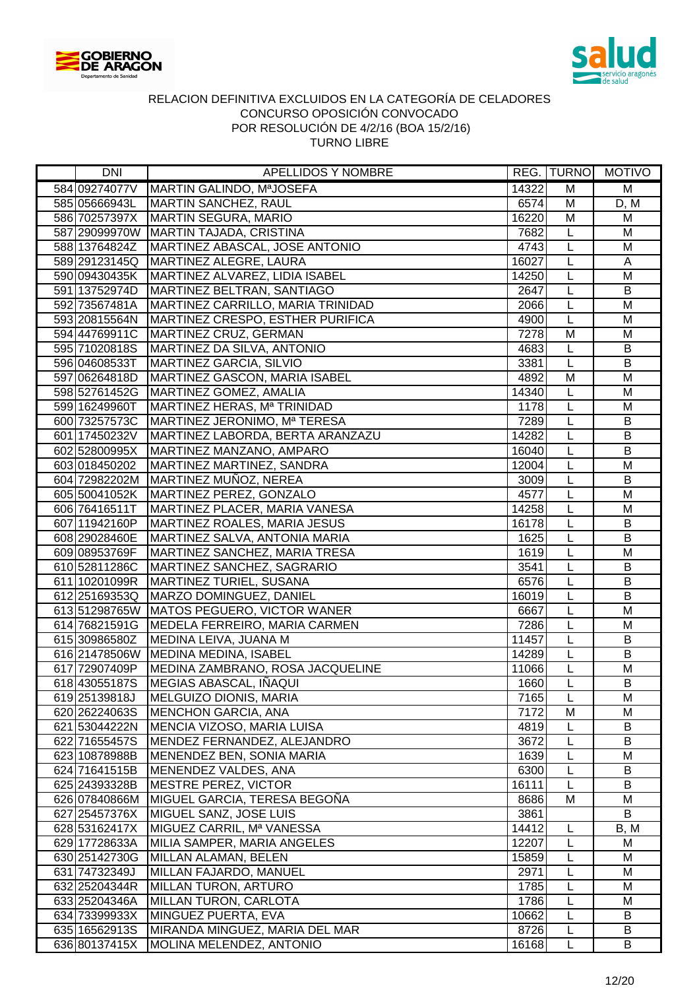



| <b>DNI</b>    | APELLIDOS Y NOMBRE                                |       |                         | REG.  TURNO   MOTIVO    |
|---------------|---------------------------------------------------|-------|-------------------------|-------------------------|
|               | 584 09274077V   MARTIN GALINDO, MªJOSEFA          | 14322 | M                       | M                       |
|               | 585 05666943L MARTIN SANCHEZ, RAUL                | 6574  | M                       | D, M                    |
|               | 586 70257397X MARTIN SEGURA, MARIO                | 16220 | $\overline{\mathsf{M}}$ | M                       |
|               | 587 29099970W MARTIN TAJADA, CRISTINA             | 7682  | L                       | M                       |
|               | 588 13764824Z   MARTINEZ ABASCAL, JOSE ANTONIO    | 4743  | L                       | M                       |
|               | 589 29123145Q   MARTINEZ ALEGRE, LAURA            | 16027 | L                       | A                       |
|               | 590 09430435K   MARTINEZ ALVAREZ, LIDIA ISABEL    | 14250 | L                       | M                       |
|               | 591 13752974D   MARTINEZ BELTRAN, SANTIAGO        | 2647  | L                       | B                       |
|               | 592 73567481A   MARTINEZ CARRILLO, MARIA TRINIDAD | 2066  | L                       | M                       |
|               | 593 20815564N   MARTINEZ CRESPO, ESTHER PURIFICA  | 4900  | L                       | M                       |
|               | 594 44769911C MARTINEZ CRUZ, GERMAN               | 7278  | M                       | M                       |
|               | 595 71020818S   MARTINEZ DA SILVA, ANTONIO        | 4683  | L                       | B                       |
| 596 04608533T | MARTINEZ GARCIA, SILVIO                           | 3381  | L                       | $\overline{B}$          |
| 597 06264818D | MARTINEZ GASCON, MARIA ISABEL                     | 4892  | M                       | M                       |
| 598 52761452G | MARTINEZ GOMEZ, AMALIA                            | 14340 | L                       | M                       |
| 599 16249960T | MARTINEZ HERAS, Mª TRINIDAD                       | 1178  | L                       | M                       |
| 600 73257573C | MARTINEZ JERONIMO, Mª TERESA                      | 7289  | L                       | B                       |
|               | 601 17450232V   MARTINEZ LABORDA, BERTA ARANZAZU  | 14282 | L                       | B                       |
|               | 602 52800995X MARTINEZ MANZANO, AMPARO            | 16040 | L                       | B                       |
|               | 603 018450202   MARTINEZ MARTINEZ, SANDRA         | 12004 | L                       | M                       |
|               | 604 72982202M MARTINEZ MUÑOZ, NEREA               | 3009  | L                       | B                       |
|               | 605 50041052K   MARTINEZ PEREZ, GONZALO           | 4577  | L                       | M                       |
| 606 76416511T | MARTINEZ PLACER, MARIA VANESA                     | 14258 | L                       | M                       |
| 607 11942160P | MARTINEZ ROALES, MARIA JESUS                      | 16178 | L                       | B                       |
|               | 608 29028460E MARTINEZ SALVA, ANTONIA MARIA       | 1625  | L                       | $\overline{B}$          |
|               | 609 08953769F   MARTINEZ SANCHEZ, MARIA TRESA     | 1619  | L                       | M                       |
|               | 610 52811286C MARTINEZ SANCHEZ, SAGRARIO          | 3541  | $\overline{L}$          | $\overline{B}$          |
|               | 611 10201099R   MARTINEZ TURIEL, SUSANA           | 6576  | L                       | B                       |
| 612 25169353Q | MARZO DOMINGUEZ, DANIEL                           | 16019 | L                       | $\overline{B}$          |
|               | 613 51298765W MATOS PEGUERO, VICTOR WANER         | 6667  | L                       | $\overline{\mathsf{M}}$ |
| 614 76821591G | MEDELA FERREIRO, MARIA CARMEN                     | 7286  | L                       | M                       |
| 615 30986580Z | MEDINA LEIVA, JUANA M                             | 11457 | L                       | B                       |
|               | 616 21478506W MEDINA MEDINA, ISABEL               | 14289 | L                       | B                       |
| 617 72907409P | MEDINA ZAMBRANO, ROSA JACQUELINE                  | 11066 | L                       | M                       |
| 618 43055187S | MEGIAS ABASCAL, IÑAQUI                            | 1660  | L                       | B                       |
| 619 25139818J | MELGUIZO DIONIS, MARIA                            | 7165  | L                       | M                       |
| 620 26224063S | MENCHON GARCIA, ANA                               | 7172  | M                       | M                       |
| 621 53044222N | MENCIA VIZOSO, MARIA LUISA                        | 4819  | L                       | B                       |
| 622 71655457S | MENDEZ FERNANDEZ, ALEJANDRO                       | 3672  | L                       | B                       |
| 623 10878988B | MENENDEZ BEN, SONIA MARIA                         | 1639  | L                       | M                       |
| 624 71641515B | MENENDEZ VALDES, ANA                              | 6300  | L                       | B                       |
| 625 24393328B | MESTRE PEREZ, VICTOR                              | 16111 | L                       | B                       |
| 626 07840866M | MIGUEL GARCIA, TERESA BEGOÑA                      | 8686  | М                       | M                       |
| 627 25457376X | MIGUEL SANZ, JOSE LUIS                            | 3861  |                         | B                       |
| 628 53162417X | MIGUEZ CARRIL, Mª VANESSA                         | 14412 | L                       | B, M                    |
| 629 17728633A | MILIA SAMPER, MARIA ANGELES                       | 12207 | L                       | M                       |
| 630 25142730G | MILLAN ALAMAN, BELEN                              | 15859 | L                       | M                       |
| 631 74732349J | MILLAN FAJARDO, MANUEL                            | 2971  | L                       | M                       |
| 632 25204344R | MILLAN TURON, ARTURO                              | 1785  | L                       | M                       |
| 633 25204346A | MILLAN TURON, CARLOTA                             | 1786  | L                       | M                       |
| 634 73399933X | MINGUEZ PUERTA, EVA                               | 10662 | L                       | B                       |
|               | 635 16562913S   MIRANDA MINGUEZ, MARIA DEL MAR    | 8726  | L                       | B                       |
| 636 80137415X | MOLINA MELENDEZ, ANTONIO                          | 16168 | L                       | B                       |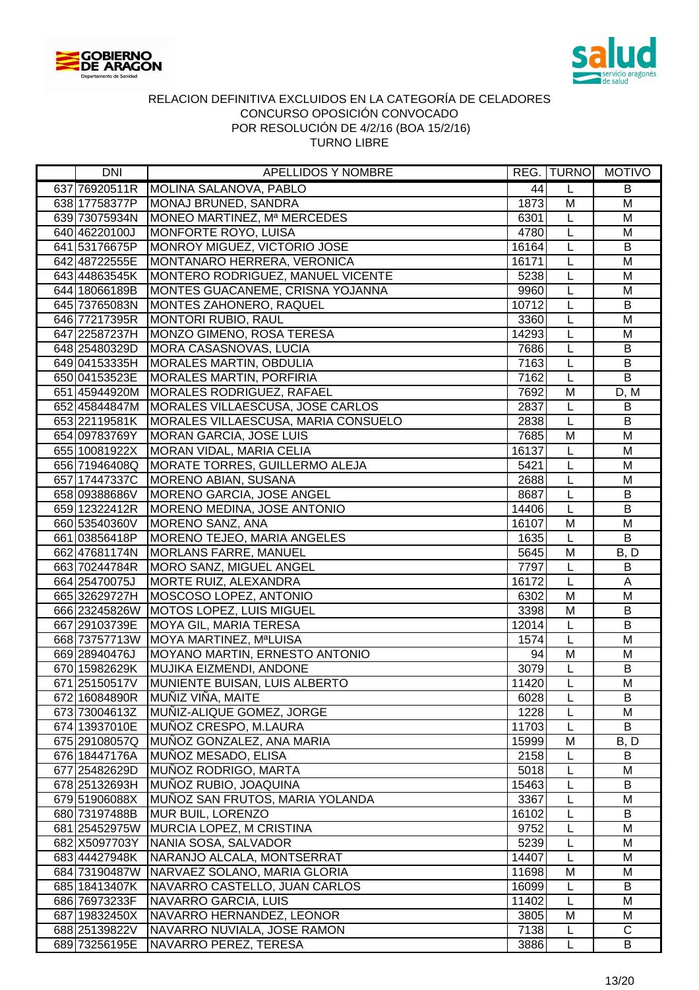



| DNI           | APELLIDOS Y NOMBRE                  |       |                | REG.  TURNO   MOTIVO |
|---------------|-------------------------------------|-------|----------------|----------------------|
| 637 76920511R | MOLINA SALANOVA, PABLO              | 44    | L              | B                    |
| 638 17758377P | MONAJ BRUNED, SANDRA                | 1873  | M              | $\overline{M}$       |
| 639 73075934N | MONEO MARTINEZ, Mª MERCEDES         | 6301  | L              | M                    |
| 640 46220100J | MONFORTE ROYO, LUISA                | 4780  | L              | M                    |
| 641 53176675P | MONROY MIGUEZ, VICTORIO JOSE        | 16164 | L              | B                    |
| 642 48722555E | MONTANARO HERRERA, VERONICA         | 16171 | $\overline{L}$ | M                    |
| 643 44863545K | MONTERO RODRIGUEZ, MANUEL VICENTE   | 5238  | L              | M                    |
| 644 18066189B | MONTES GUACANEME, CRISNA YOJANNA    | 9960  | L              | M                    |
| 645 73765083N | MONTES ZAHONERO, RAQUEL             | 10712 | L              | B                    |
| 646 77217395R | MONTORI RUBIO, RAUL                 | 3360  | $\overline{L}$ | $\overline{M}$       |
| 647 22587237H | MONZO GIMENO, ROSA TERESA           | 14293 | L              | M                    |
| 648 25480329D | MORA CASASNOVAS, LUCIA              | 7686  | L              | $\sf B$              |
| 649 04153335H | <b>MORALES MARTIN, OBDULIA</b>      | 7163  | L              | B                    |
| 650 04153523E | <b>MORALES MARTIN, PORFIRIA</b>     | 7162  | L              | B                    |
| 651 45944920M | <b>MORALES RODRIGUEZ, RAFAEL</b>    | 7692  | M              | D, M                 |
| 652 45844847M | MORALES VILLAESCUSA, JOSE CARLOS    | 2837  | L              | B                    |
| 653 22119581K | MORALES VILLAESCUSA, MARIA CONSUELO | 2838  | L              | B                    |
| 654 09783769Y | <b>MORAN GARCIA, JOSE LUIS</b>      | 7685  | M              | $\overline{M}$       |
| 655 10081922X | MORAN VIDAL, MARIA CELIA            | 16137 | L              | M                    |
| 656 71946408Q | MORATE TORRES, GUILLERMO ALEJA      | 5421  | L              | M                    |
| 657 17447337C | MORENO ABIAN, SUSANA                | 2688  | L              | M                    |
| 658 09388686V | MORENO GARCIA, JOSE ANGEL           | 8687  | L              | B                    |
| 659 12322412R | MORENO MEDINA, JOSE ANTONIO         | 14406 | L              | B                    |
| 660 53540360V | MORENO SANZ, ANA                    | 16107 | M              | M                    |
| 661 03856418P | MORENO TEJEO, MARIA ANGELES         | 1635  | $\overline{L}$ | B                    |
| 662 47681174N | <b>MORLANS FARRE, MANUEL</b>        | 5645  | $\overline{M}$ | B, D                 |
| 663 70244784R | MORO SANZ, MIGUEL ANGEL             | 7797  | $\overline{L}$ | $\overline{B}$       |
| 664 25470075J | MORTE RUIZ, ALEXANDRA               | 16172 | $\overline{L}$ | A                    |
| 665 32629727H | MOSCOSO LOPEZ, ANTONIO              | 6302  | M              | M                    |
| 666 23245826W | <b>MOTOS LOPEZ, LUIS MIGUEL</b>     | 3398  | $\overline{M}$ | B                    |
| 667 29103739E | <b>MOYA GIL, MARIA TERESA</b>       | 12014 | L              | $\overline{B}$       |
| 668 73757713W | MOYA MARTINEZ, M <sup>a</sup> LUISA | 1574  | L              | M                    |
| 669 28940476J | MOYANO MARTIN, ERNESTO ANTONIO      | 94    | M              | M                    |
| 670 15982629K | MUJIKA EIZMENDI, ANDONE             | 3079  | L              | B                    |
| 671 25150517V | MUNIENTE BUISAN, LUIS ALBERTO       | 11420 | $\overline{L}$ | M                    |
| 672 16084890R | MUÑIZ VIÑA, MAITE                   | 6028  | L              | B                    |
| 673 73004613Z | MUÑIZ-ALIQUE GOMEZ, JORGE           | 1228  | L              | M                    |
| 674 13937010E | MUÑOZ CRESPO, M.LAURA               | 11703 | L              | B                    |
| 675 29108057Q | MUÑOZ GONZALEZ, ANA MARIA           | 15999 | M              | B, D                 |
| 676 18447176A | MUÑOZ MESADO, ELISA                 | 2158  | L              | B                    |
| 677 25482629D | MUÑOZ RODRIGO, MARTA                | 5018  | L              | M                    |
| 678 25132693H | MUÑOZ RUBIO, JOAQUINA               | 15463 | L              | B                    |
| 679 51906088X | MUÑOZ SAN FRUTOS, MARIA YOLANDA     | 3367  | L              | M                    |
| 680 73197488B | MUR BUIL, LORENZO                   | 16102 | L              | B                    |
| 681 25452975W | MURCIA LOPEZ, M CRISTINA            | 9752  | L              | M                    |
| 682 X5097703Y | NANIA SOSA, SALVADOR                | 5239  | L              | M                    |
| 68344427948K  | NARANJO ALCALA, MONTSERRAT          | 14407 | L              | M                    |
| 684 73190487W | NARVAEZ SOLANO, MARIA GLORIA        | 11698 | M              | M                    |
| 685 18413407K | NAVARRO CASTELLO, JUAN CARLOS       | 16099 | L              | B                    |
| 686 76973233F | NAVARRO GARCIA, LUIS                | 11402 | L              | M                    |
| 687 19832450X | NAVARRO HERNANDEZ, LEONOR           | 3805  | M              | M                    |
| 688 25139822V | NAVARRO NUVIALA, JOSE RAMON         | 7138  | L              | $\mathsf{C}$         |
| 689 73256195E | NAVARRO PEREZ, TERESA               | 3886  | L              | B                    |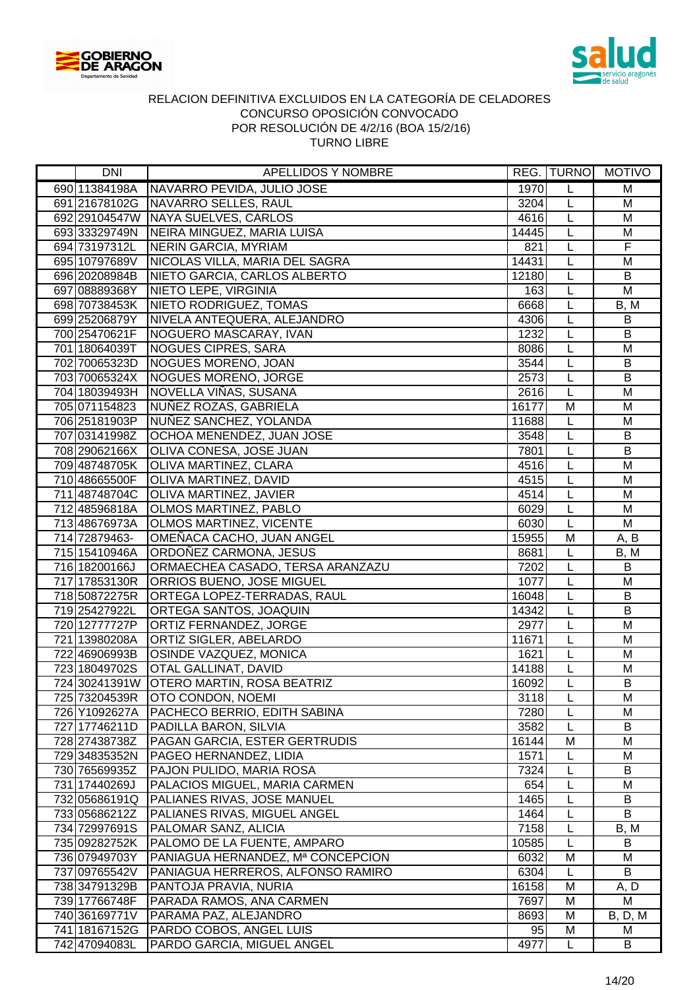



| <b>DNI</b>    | APELLIDOS Y NOMBRE                       |       |                | REG. TURNO MOTIVO |
|---------------|------------------------------------------|-------|----------------|-------------------|
| 690 11384198A | NAVARRO PEVIDA, JULIO JOSE               | 1970  | L              | M                 |
|               | 691 21678102G NAVARRO SELLES, RAUL       | 3204  | L              | M                 |
|               | 692 29104547W NAYA SUELVES, CARLOS       | 4616  | L              | M                 |
| 693 33329749N | NEIRA MINGUEZ, MARIA LUISA               | 14445 | L              | M                 |
| 694 73197312L | NERIN GARCIA, MYRIAM                     | 821   | L              | $\overline{F}$    |
| 695 10797689V | NICOLAS VILLA, MARIA DEL SAGRA           | 14431 | L              | M                 |
| 696 20208984B | NIETO GARCIA, CARLOS ALBERTO             | 12180 | $\overline{L}$ | B                 |
| 697 08889368Y | NIETO LEPE, VIRGINIA                     | 163   | L              | M                 |
| 698 70738453K | NIETO RODRIGUEZ, TOMAS                   | 6668  | L              | B, M              |
| 699 25206879Y | NIVELA ANTEQUERA, ALEJANDRO              | 4306  | L              | B                 |
| 700 25470621F | NOGUERO MASCARAY, IVAN                   | 1232  | $\overline{L}$ | B                 |
| 701 18064039T | <b>NOGUES CIPRES, SARA</b>               | 8086  | L              | M                 |
| 702 70065323D | NOGUES MORENO, JOAN                      | 3544  | L              | $\sf B$           |
| 703 70065324X | <b>NOGUES MORENO, JORGE</b>              | 2573  | L              | $\sf B$           |
| 704 18039493H | NOVELLA VIÑAS, SUSANA                    | 2616  | L              | M                 |
| 705 071154823 | NUÑEZ ROZAS, GABRIELA                    | 16177 | M              | M                 |
| 706 25181903P | NUÑEZ SANCHEZ, YOLANDA                   | 11688 | L              | M                 |
| 707 03141998Z | OCHOA MENENDEZ, JUAN JOSE                | 3548  | L              | B                 |
| 708 29062166X | OLIVA CONESA, JOSE JUAN                  | 7801  | L              | $\overline{B}$    |
| 709 48748705K | OLIVA MARTINEZ, CLARA                    | 4516  | L              | M                 |
| 710 48665500F | OLIVA MARTINEZ, DAVID                    | 4515  | L              | M                 |
| 711 48748704C | OLIVA MARTINEZ, JAVIER                   | 4514  | L              | M                 |
| 712 48596818A | OLMOS MARTINEZ, PABLO                    | 6029  | $\overline{L}$ | M                 |
| 713 48676973A | <b>OLMOS MARTINEZ, VICENTE</b>           | 6030  | L              | M                 |
| 714 72879463- | OMEÑACA CACHO, JUAN ANGEL                | 15955 | M              | A, B              |
| 715 15410946A | ORDOÑEZ CARMONA, JESUS                   | 8681  | L              | B, M              |
| 716 18200166J | ORMAECHEA CASADO, TERSA ARANZAZU         | 7202  | $\overline{L}$ | $\overline{B}$    |
| 717 17853130R | ORRIOS BUENO, JOSE MIGUEL                | 1077  | L              | $\overline{M}$    |
| 718 50872275R | ORTEGA LOPEZ-TERRADAS, RAUL              | 16048 | L              | $\overline{B}$    |
| 719 25427922L | ORTEGA SANTOS, JOAQUIN                   | 14342 | L              | $\overline{B}$    |
| 720 12777727P | ORTIZ FERNANDEZ, JORGE                   | 2977  | L              | $\overline{M}$    |
| 721 13980208A | ORTIZ SIGLER, ABELARDO                   | 11671 | L              | M                 |
| 722 46906993B | <b>OSINDE VAZQUEZ, MONICA</b>            | 1621  | L              | M                 |
| 723 18049702S | <b>OTAL GALLINAT, DAVID</b>              | 14188 | L              | M                 |
|               | 724 30241391W OTERO MARTIN, ROSA BEATRIZ | 16092 | L              | B                 |
| 725 73204539R | OTO CONDON, NOEMI                        | 3118  | L              | M                 |
| 726 Y1092627A | PACHECO BERRIO, EDITH SABINA             | 7280  | L              | M                 |
| 727 17746211D | PADILLA BARON, SILVIA                    | 3582  | L              | B                 |
| 728 27438738Z | PAGAN GARCIA, ESTER GERTRUDIS            | 16144 | M              | M                 |
| 729 34835352N | PAGEO HERNANDEZ, LIDIA                   | 1571  |                | M                 |
| 730 76569935Z | PAJON PULIDO, MARIA ROSA                 | 7324  | L              | B                 |
| 731 17440269J | PALACIOS MIGUEL, MARIA CARMEN            | 654   | L              | M                 |
| 732 05686191Q | PALIANES RIVAS, JOSE MANUEL              | 1465  | L              | B                 |
| 733 05686212Z | PALIANES RIVAS, MIGUEL ANGEL             | 1464  | L              | B                 |
| 734 72997691S | PALOMAR SANZ, ALICIA                     | 7158  | L              | B, M              |
| 735 09282752K | PALOMO DE LA FUENTE, AMPARO              | 10585 | L              | B                 |
| 736 07949703Y | PANIAGUA HERNANDEZ, Mª CONCEPCION        | 6032  | M              | M                 |
| 737 09765542V | PANIAGUA HERREROS, ALFONSO RAMIRO        | 6304  | L              | B                 |
| 738 34791329B | PANTOJA PRAVIA, NURIA                    | 16158 | M              | A, D              |
| 739 17766748F | PARADA RAMOS, ANA CARMEN                 | 7697  | M              | М                 |
| 740 36169771V | PARAMA PAZ, ALEJANDRO                    | 8693  | M              | <b>B</b> , D, M   |
| 741 18167152G | <b>PARDO COBOS, ANGEL LUIS</b>           | 95    | M              | M                 |
| 742 47094083L | PARDO GARCIA, MIGUEL ANGEL               | 4977  | L              | B                 |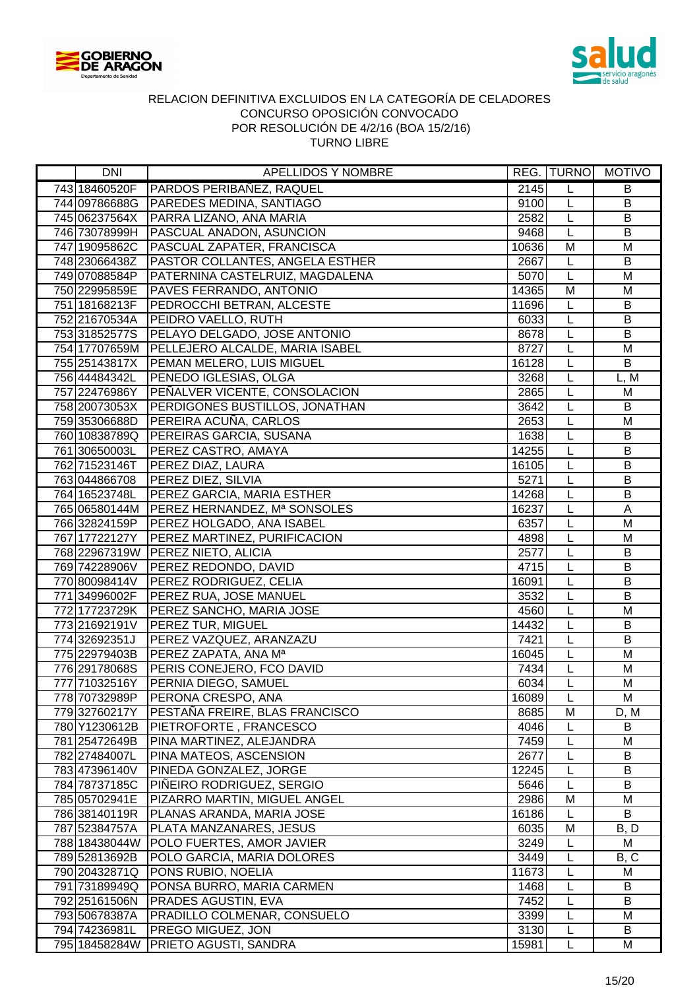



| DNI                            | APELLIDOS Y NOMBRE                                   |               |        | REG.  TURNO   MOTIVO |
|--------------------------------|------------------------------------------------------|---------------|--------|----------------------|
| 743 18460520F                  | PARDOS PERIBAÑEZ, RAQUEL                             | 2145          | L      | B                    |
| 744 09786688G                  | <b>PAREDES MEDINA, SANTIAGO</b>                      | 9100          | L      | B                    |
| 745 06237564X                  | PARRA LIZANO, ANA MARIA                              | 2582          | L      | B                    |
| 746 73078999H                  | <b>PASCUAL ANADON, ASUNCION</b>                      | 9468          | L      | B                    |
| 747 19095862C                  | PASCUAL ZAPATER, FRANCISCA                           | 10636         | M      | M                    |
| 748 23066438Z                  | PASTOR COLLANTES, ANGELA ESTHER                      | 2667          | L      | B                    |
| 749 07088584P                  | PATERNINA CASTELRUIZ, MAGDALENA                      | 5070          | L      | M                    |
| 750 22995859E                  | PAVES FERRANDO, ANTONIO                              | 14365         | M      | M                    |
| 751 18168213F                  | PEDROCCHI BETRAN, ALCESTE                            | 11696         | L      | B                    |
| 752 21670534A                  | <b>PEIDRO VAELLO, RUTH</b>                           | 6033          | L      | B                    |
| 753 31852577S                  | PELAYO DELGADO, JOSE ANTONIO                         | 8678          | L      | $\overline{B}$       |
|                                | 754 17707659M PELLEJERO ALCALDE, MARIA ISABEL        | 8727          | L      | M                    |
| 755 25143817X                  | <b>PEMAN MELERO, LUIS MIGUEL</b>                     | 16128         | L      | B                    |
| 756 44484342L                  | PENEDO IGLESIAS, OLGA                                | 3268          | L      | L, M                 |
| 757 22476986Y                  | PEÑALVER VICENTE, CONSOLACION                        | 2865          | L      | M                    |
| 758 20073053X                  | <b>PERDIGONES BUSTILLOS, JONATHAN</b>                | 3642          | L      | B                    |
| 759 35306688D                  | PEREIRA ACUÑA, CARLOS                                | 2653          | L      | M                    |
| 760 10838789Q                  | <b>PEREIRAS GARCIA, SUSANA</b>                       | 1638          | L      | B                    |
| 761 30650003L                  | <b>PEREZ CASTRO, AMAYA</b>                           | 14255         | L      | B                    |
| 762 71523146T                  | <b>PEREZ DIAZ, LAURA</b>                             | 16105         | L      | $\sf B$              |
| 763 044866708                  | <b>PEREZ DIEZ, SILVIA</b>                            | 5271          | L      | B                    |
| 764 16523748L                  | PEREZ GARCIA, MARIA ESTHER                           | 14268         | L      | B                    |
|                                | 765 06580144M PEREZ HERNANDEZ, Mª SONSOLES           | 16237         | L      | $\mathsf{A}$         |
| 766 32824159P                  | <b>PEREZ HOLGADO, ANA ISABEL</b>                     | 6357          | L      | M                    |
| 767 17722127Y                  | PEREZ MARTINEZ, PURIFICACION                         | 4898          | L      | M                    |
|                                | 768 22967319W PEREZ NIETO, ALICIA                    | 2577          | L      | B                    |
| 769 74228906V                  | <b>PEREZ REDONDO, DAVID</b>                          | 4715          | L      | B                    |
| 770 80098414V                  | <b>PEREZ RODRIGUEZ, CELIA</b>                        | 16091         | L      | B                    |
| 771 34996002F                  | <b>PEREZ RUA, JOSE MANUEL</b>                        | 3532          | L      | $\overline{B}$       |
| 772 17723729K                  | PEREZ SANCHO, MARIA JOSE<br><b>PEREZ TUR, MIGUEL</b> | 4560          | L      | M                    |
| 773 21692191V                  |                                                      | 14432<br>7421 | L      | B<br>B               |
| 774 32692351J<br>775 22979403B | PEREZ VAZQUEZ, ARANZAZU<br>PEREZ ZAPATA, ANA Mª      | 16045         | L<br>L | M                    |
| 776 29178068S                  | <b>PERIS CONEJERO, FCO DAVID</b>                     | 7434          | L      | M                    |
| 777 71032516Y                  | PERNIA DIEGO, SAMUEL                                 | 6034          | L      | M                    |
| 778 70732989P                  | PERONA CRESPO, ANA                                   | 16089         | L      | М                    |
| 779 32760217Y                  | PESTAÑA FREIRE, BLAS FRANCISCO                       | 8685          | M      | D, M                 |
| 780 Y1230612B                  | PIETROFORTE, FRANCESCO                               | 4046          |        | B                    |
| 781 25472649B                  | PINA MARTINEZ, ALEJANDRA                             | 7459          |        | M                    |
| 782 27484007L                  | PINA MATEOS, ASCENSION                               | 2677          | L      | B                    |
| 783 47396140V                  | PINEDA GONZALEZ, JORGE                               | 12245         | L      | B                    |
| 784 78737185C                  | PIÑEIRO RODRIGUEZ, SERGIO                            | 5646          | L      | B                    |
| 785 05702941E                  | PIZARRO MARTIN, MIGUEL ANGEL                         | 2986          | Μ      | M                    |
| 786 38140119R                  | PLANAS ARANDA, MARIA JOSE                            | 16186         | L      | B                    |
| 787 52384757A                  | PLATA MANZANARES, JESUS                              | 6035          | M      | B, D                 |
| 788 18438044W                  | POLO FUERTES, AMOR JAVIER                            | 3249          | L      | M                    |
| 789 52813692B                  | POLO GARCIA, MARIA DOLORES                           | 3449          | L      | B, C                 |
| 790 20432871Q                  | PONS RUBIO, NOELIA                                   | 11673         | L      | M                    |
| 791 73189949Q                  | PONSA BURRO, MARIA CARMEN                            | 1468          | L      | B                    |
| 792 25161506N                  | <b>PRADES AGUSTIN, EVA</b>                           | 7452          | L      | B                    |
| 793 50678387A                  | PRADILLO COLMENAR, CONSUELO                          | 3399          | L      | М                    |
| 794 74236981L                  | <b>PREGO MIGUEZ, JON</b>                             | 3130          | L      | B                    |
|                                | 795 18458284W   PRIETO AGUSTI, SANDRA                | 15981         | Г      | M                    |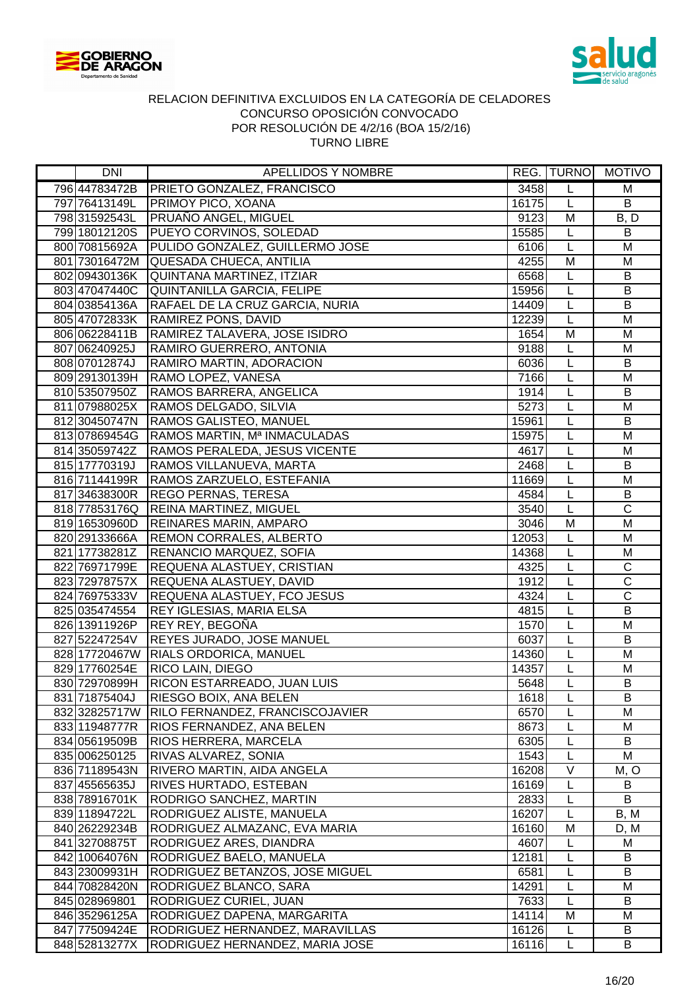



| DNI           | APELLIDOS Y NOMBRE                                               |              |                | REG. TURNO MOTIVO       |
|---------------|------------------------------------------------------------------|--------------|----------------|-------------------------|
| 796 44783472B | <b>PRIETO GONZALEZ, FRANCISCO</b>                                | 3458         | L              | M                       |
| 797 76413149L | <b>PRIMOY PICO, XOANA</b>                                        | 16175        | L              | $\overline{B}$          |
| 798 31592543L | <b>PRUAÑO ANGEL, MIGUEL</b>                                      | 9123         | M              | B, D                    |
| 799 18012120S | PUEYO CORVINOS, SOLEDAD                                          | 15585        | L              | B                       |
|               | 800 70815692A   PULIDO GONZALEZ, GUILLERMO JOSE                  | 6106         | L              | M                       |
|               | 801 73016472M QUESADA CHUECA, ANTILIA                            | 4255         | M              | M                       |
|               | 802 09430136K QUINTANA MARTINEZ, ITZIAR                          | 6568         | L              | $\sf B$                 |
| 803 47047440C | QUINTANILLA GARCIA, FELIPE                                       | 15956        | L              | B                       |
| 804 03854136A | RAFAEL DE LA CRUZ GARCIA, NURIA                                  | 14409        | L              | B                       |
| 805 47072833K | <b>RAMIREZ PONS, DAVID</b>                                       | 12239        | $\overline{L}$ | $\overline{M}$          |
| 806 06228411B | RAMIREZ TALAVERA, JOSE ISIDRO                                    | 1654         | M              | M                       |
| 807 06240925J | RAMIRO GUERRERO, ANTONIA                                         | 9188         | L              | M                       |
| 808 07012874J | <b>RAMIRO MARTIN, ADORACION</b>                                  | 6036         | L              | B                       |
| 809 29130139H | RAMO LOPEZ, VANESA                                               | 7166         | L              | M                       |
| 810 53507950Z | RAMOS BARRERA, ANGELICA                                          | 1914         | L              | $\sf B$                 |
| 811 07988025X | RAMOS DELGADO, SILVIA                                            | 5273         | L              | M                       |
|               | 812 30450747N RAMOS GALISTEO, MANUEL                             | 15961        | L              | $\sf B$                 |
|               | 813 07869454G RAMOS MARTIN, Mª INMACULADAS                       | 15975        | L              | M                       |
|               | 814 35059742Z RAMOS PERALEDA, JESUS VICENTE                      | 4617         | L              | M                       |
| 815 17770319J | RAMOS VILLANUEVA, MARTA                                          | 2468         | L              | B                       |
|               | 816 71144199R   RAMOS ZARZUELO, ESTEFANIA                        | 11669        | L              | M                       |
|               | 817 34638300R REGO PERNAS, TERESA                                | 4584         | $\overline{L}$ | $\sf B$                 |
|               | 818 77853176Q REINA MARTINEZ, MIGUEL                             | 3540         | L              | $\overline{C}$          |
|               | 819 16530960D REINARES MARIN, AMPARO                             | 3046         | M              | M                       |
|               | 820 29133666A REMON CORRALES, ALBERTO                            | 12053        | $\overline{L}$ | M                       |
| 821 17738281Z | <b>RENANCIO MARQUEZ, SOFIA</b>                                   | 14368        | $\overline{L}$ | $\overline{M}$          |
| 822 76971799E | <b>REQUENA ALASTUEY, CRISTIAN</b>                                | 4325         | $\overline{L}$ | $\overline{C}$          |
| 823 72978757X | <b>REQUENA ALASTUEY, DAVID</b>                                   | 1912         | $\overline{L}$ | $\overline{\text{c}}$   |
| 824 76975333V | <b>REQUENA ALASTUEY, FCO JESUS</b>                               | 4324         | L              | $\overline{\mathsf{C}}$ |
| 825 035474554 | <b>REY IGLESIAS, MARIA ELSA</b>                                  | 4815         | $\overline{L}$ | $\overline{B}$          |
| 826 13911926P | <b>REY REY, BEGOÑA</b>                                           | 1570         | L              | M                       |
| 827 52247254V | <b>REYES JURADO, JOSE MANUEL</b>                                 | 6037         | L              | $\sf B$                 |
|               | 828 17720467W RIALS ORDORICA, MANUEL                             | 14360        | L              | M                       |
|               | 829 17760254E RICO LAIN, DIEGO                                   | 14357        | L              | M                       |
| 830 72970899H | <b>RICON ESTARREADO, JUAN LUIS</b>                               | 5648         | $\overline{L}$ | $\overline{B}$          |
| 831 71875404J |                                                                  |              |                |                         |
| 832 32825717W | RIESGO BOIX, ANA BELEN<br>RILO FERNANDEZ, FRANCISCOJAVIER        | 1618         | L<br>L         | B<br>M                  |
|               |                                                                  | 6570         |                |                         |
| 833 11948777R | <b>RIOS FERNANDEZ, ANA BELEN</b><br><b>RIOS HERRERA, MARCELA</b> | 8673         | L              | M<br>B                  |
| 834 05619509B |                                                                  | 6305<br>1543 | L<br>L         | M                       |
| 835 006250125 | <b>RIVAS ALVAREZ, SONIA</b>                                      |              | V              |                         |
| 836 71189543N | <b>RIVERO MARTIN, AIDA ANGELA</b>                                | 16208        |                | M, O                    |
| 837 45565635J | <b>RIVES HURTADO, ESTEBAN</b>                                    | 16169        | L              | B                       |
| 838 78916701K | <b>RODRIGO SANCHEZ, MARTIN</b>                                   | 2833         | L              | B                       |
| 839 11894722L | RODRIGUEZ ALISTE, MANUELA                                        | 16207        | L              | B, M                    |
| 840 26229234B | RODRIGUEZ ALMAZANC, EVA MARIA                                    | 16160        | Μ              | D, M                    |
| 841 32708875T | RODRIGUEZ ARES, DIANDRA                                          | 4607         | L              | M                       |
| 842 10064076N | RODRIGUEZ BAELO, MANUELA                                         | 12181        | L              | B                       |
| 843 23009931H | RODRIGUEZ BETANZOS, JOSE MIGUEL                                  | 6581         | L              | B                       |
| 844 70828420N | RODRIGUEZ BLANCO, SARA                                           | 14291        | L              | M                       |
| 845 028969801 | RODRIGUEZ CURIEL, JUAN                                           | 7633         | L              | B                       |
| 846 35296125A | RODRIGUEZ DAPENA, MARGARITA                                      | 14114        | M              | M                       |
| 847 77509424E | RODRIGUEZ HERNANDEZ, MARAVILLAS                                  | 16126        | L              | B                       |
| 848 52813277X | RODRIGUEZ HERNANDEZ, MARIA JOSE                                  | 16116        | L              | B                       |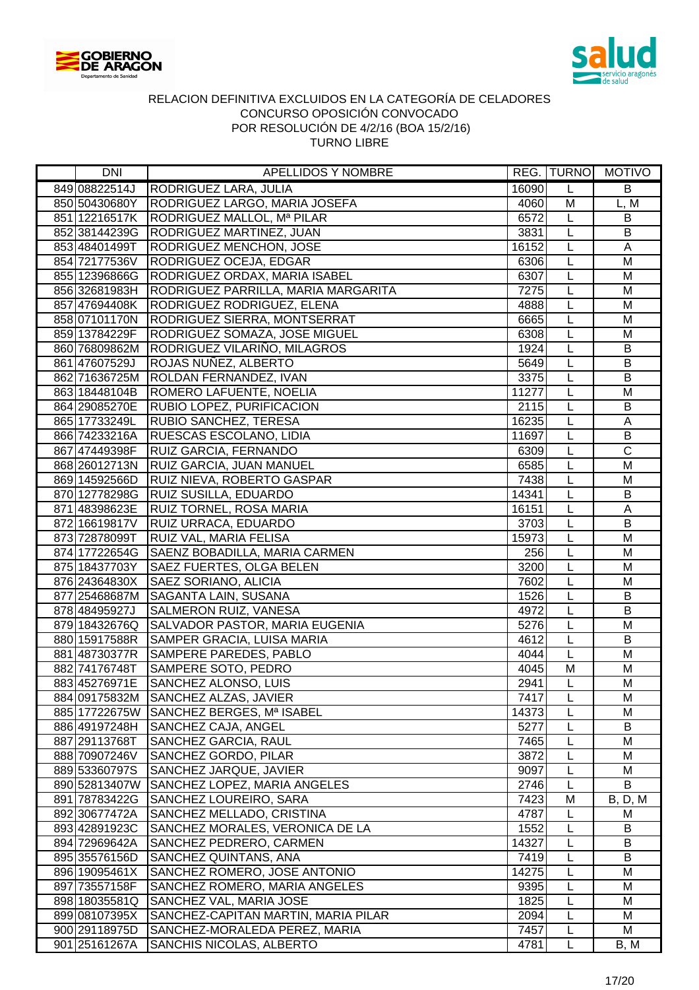



| DNI                            | APELLIDOS Y NOMBRE                                            |               | REG. TURNO     | <b>MOTIVO</b>   |
|--------------------------------|---------------------------------------------------------------|---------------|----------------|-----------------|
| 849 08822514J                  | RODRIGUEZ LARA, JULIA                                         | 16090         | L              | B               |
| 850 50430680Y                  | RODRIGUEZ LARGO, MARIA JOSEFA                                 | 4060          | M              | L, M            |
| 851 12216517K                  | RODRIGUEZ MALLOL, Mª PILAR                                    | 6572          | L              | B               |
| 852 38144239G                  | <b>RODRIGUEZ MARTINEZ, JUAN</b>                               | 3831          | L              | B               |
| 853 48401499T                  | RODRIGUEZ MENCHON, JOSE                                       | 16152         | L              | Α               |
| 854 72177536V                  | RODRIGUEZ OCEJA, EDGAR                                        | 6306          | $\overline{L}$ | M               |
| 855 12396866G                  | <b>RODRIGUEZ ORDAX, MARIA ISABEL</b>                          | 6307          | L              | M               |
| 856 32681983H                  | RODRIGUEZ PARRILLA, MARIA MARGARITA                           | 7275          | L              | M               |
| 857 47694408K                  | RODRIGUEZ RODRIGUEZ, ELENA                                    | 4888          | L              | M               |
| 858 07101170N                  | <b>RODRIGUEZ SIERRA, MONTSERRAT</b>                           | 6665          | $\overline{L}$ | M               |
| 859 13784229F                  | RODRIGUEZ SOMAZA, JOSE MIGUEL                                 | 6308          | L              | M               |
| 860 76809862M                  | RODRIGUEZ VILARIÑO, MILAGROS                                  | 1924          | L              | $\sf B$         |
| 861 47607529J                  | ROJAS NUÑEZ, ALBERTO                                          | 5649          | L              | B               |
| 862 71636725M                  | ROLDAN FERNANDEZ, IVAN                                        | 3375          | L              | B               |
| 863 18448104B                  | ROMERO LAFUENTE, NOELIA                                       | 11277         | L              | M               |
| 864 29085270E                  | RUBIO LOPEZ, PURIFICACION                                     | 2115          | L              | B               |
| 865 17733249L                  | <b>RUBIO SANCHEZ, TERESA</b>                                  | 16235         | L              | A               |
| 866 74233216A                  | RUESCAS ESCOLANO, LIDIA                                       | 11697         | L              | $\overline{B}$  |
| 867 47449398F                  | <b>RUIZ GARCIA, FERNANDO</b>                                  | 6309          | L              | $\overline{C}$  |
| 868 26012713N                  | RUIZ GARCIA, JUAN MANUEL                                      | 6585          | L              | M               |
| 869 14592566D                  | RUIZ NIEVA, ROBERTO GASPAR                                    | 7438          | L              | M               |
| 870 12778298G                  | <b>RUIZ SUSILLA, EDUARDO</b>                                  | 14341         | L              | B               |
| 871 48398623E                  | <b>RUIZ TORNEL, ROSA MARIA</b>                                | 16151         | L              | A               |
| 872 16619817V                  | <b>RUIZ URRACA, EDUARDO</b>                                   | 3703          | L              | B               |
| 873 72878099T                  | <b>RUIZ VAL, MARIA FELISA</b>                                 | 15973         | L              | M               |
| 874 17722654G                  | SAENZ BOBADILLA, MARIA CARMEN                                 | 256           | L              | $\overline{M}$  |
| 875 18437703Y                  | <b>SAEZ FUERTES, OLGA BELEN</b>                               | 3200          | $\overline{L}$ | M               |
| 876 24364830X                  | SAEZ SORIANO, ALICIA                                          | 7602          | L              | M               |
| 877 25468687M                  | <b>SAGANTA LAIN, SUSANA</b>                                   | 1526          | L              | B               |
| 878 48495927J                  | SALMERON RUIZ, VANESA                                         | 4972          | L              | $\overline{B}$  |
| 879 18432676Q                  | SALVADOR PASTOR, MARIA EUGENIA                                | 5276          | L              | M               |
| 880 15917588R                  | SAMPER GRACIA, LUISA MARIA                                    | 4612          | L              | B               |
| 881 48730377R                  | <b>SAMPERE PAREDES, PABLO</b>                                 | 4044          | L              | M               |
| 882 74176748T                  | <b>SAMPERE SOTO, PEDRO</b>                                    | 4045          | M              | M               |
| 883 45276971E                  | <b>SANCHEZ ALONSO, LUIS</b>                                   | 2941          | $\overline{L}$ | M               |
|                                | 884 09175832M SANCHEZ ALZAS, JAVIER                           | 7417          | L              | M               |
| 885 17722675W                  | SANCHEZ BERGES, Mª ISABEL                                     | 14373         | L              | M               |
| 886 49197248H                  | SANCHEZ CAJA, ANGEL                                           | 5277          | L              | B               |
| 887 29113768T                  | SANCHEZ GARCIA, RAUL                                          | 7465          | L              | M               |
| 888 70907246V                  | SANCHEZ GORDO, PILAR                                          | 3872          | L              | М               |
| 889 53360797S                  | <b>SANCHEZ JARQUE, JAVIER</b>                                 | 9097          | L              | М               |
| 890 52813407W                  | SANCHEZ LOPEZ, MARIA ANGELES                                  | 2746          | L              | B               |
| 891 78783422G                  | SANCHEZ LOUREIRO, SARA                                        | 7423          | M              | <b>B</b> , D, M |
| 892 30677472A                  | SANCHEZ MELLADO, CRISTINA                                     | 4787          | L              | M               |
| 893 42891923C                  | SANCHEZ MORALES, VERONICA DE LA                               | 1552          | L              | B               |
| 894 72969642A                  | SANCHEZ PEDRERO, CARMEN                                       | 14327         | L              | B               |
| 895 35576156D                  | SANCHEZ QUINTANS, ANA                                         | 7419          | L              | B               |
| 896 19095461X<br>897 73557158F | SANCHEZ ROMERO, JOSE ANTONIO<br>SANCHEZ ROMERO, MARIA ANGELES | 14275<br>9395 | L              | M<br>M          |
| 898 18035581Q                  | SANCHEZ VAL, MARIA JOSE                                       | 1825          | L<br>L         | M               |
| 899 08107395X                  | SANCHEZ-CAPITAN MARTIN, MARIA PILAR                           | 2094          | L              | M               |
| 900 29118975D                  | SANCHEZ-MORALEDA PEREZ, MARIA                                 | 7457          | L              | M               |
| 901 25161267A                  | <b>SANCHIS NICOLAS, ALBERTO</b>                               | 4781          | L              | B, M            |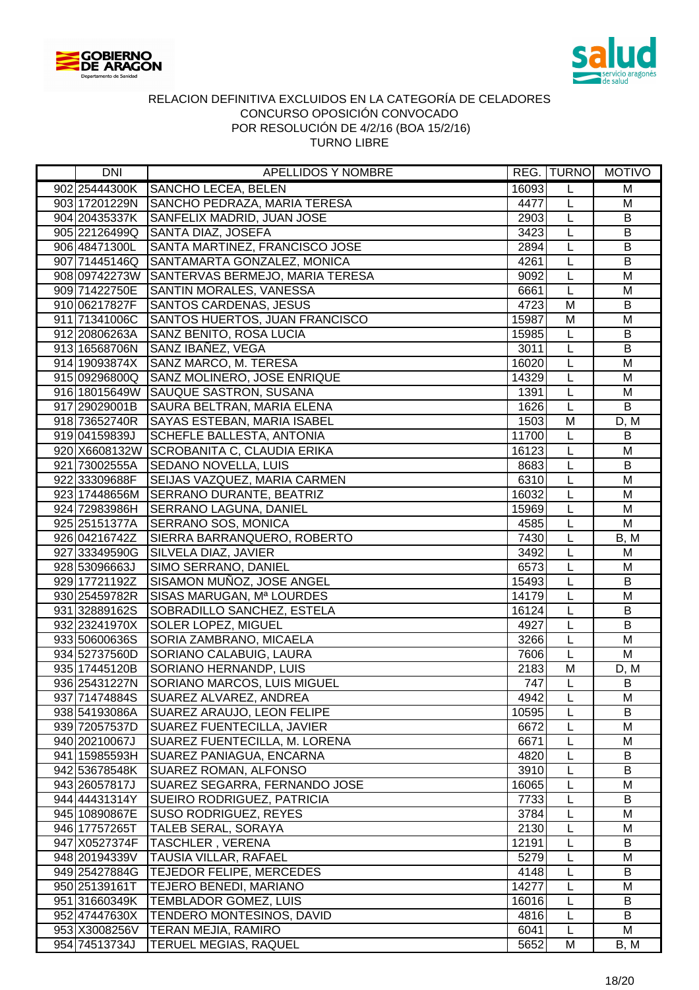



| <b>DNI</b>                     | <b>APELLIDOS Y NOMBRE</b>                                          |               |                | REG. TURNO MOTIVO |
|--------------------------------|--------------------------------------------------------------------|---------------|----------------|-------------------|
| 902 25444300K                  | SANCHO LECEA, BELEN                                                | 16093         | L              | M                 |
| 903 17201229N                  | SANCHO PEDRAZA, MARIA TERESA                                       | 4477          | L              | M                 |
| 904 20435337K                  | SANFELIX MADRID, JUAN JOSE                                         | 2903          | L              | $\overline{B}$    |
| 905 22126499Q                  | SANTA DIAZ, JOSEFA                                                 | 3423          | L              | $\sf B$           |
| 906 48471300L                  | SANTA MARTINEZ, FRANCISCO JOSE                                     | 2894          | L              | B                 |
| 907 71445146Q                  | SANTAMARTA GONZALEZ, MONICA                                        | 4261          | L              | B                 |
|                                | 908 09742273W SANTERVAS BERMEJO, MARIA TERESA                      | 9092          | $\overline{L}$ | M                 |
| 909 71422750E                  | SANTIN MORALES, VANESSA                                            | 6661          | L              | M                 |
| 910 06217827F                  | <b>SANTOS CARDENAS, JESUS</b>                                      | 4723          | M              | B                 |
| 911 71341006C                  | SANTOS HUERTOS, JUAN FRANCISCO                                     | 15987         | M              | M                 |
| 912 20806263A                  | SANZ BENITO, ROSA LUCIA                                            | 15985         | L              | B                 |
| 913 16568706N                  | SANZ IBAÑEZ, VEGA                                                  | 3011          | L              | $\sf B$           |
| 914 19093874X                  | SANZ MARCO, M. TERESA                                              | 16020         | L              | M                 |
| 915 09296800Q                  | SANZ MOLINERO, JOSE ENRIQUE                                        | 14329         | L              | M                 |
| 916 18015649W                  | SAUQUE SASTRON, SUSANA                                             | 1391          | L              | M                 |
| 917 29029001B                  | SAURA BELTRAN, MARIA ELENA                                         | 1626          | L              | B                 |
| 918 73652740R                  | <b>SAYAS ESTEBAN, MARIA ISABEL</b>                                 | 1503          | M              | D, M              |
| 919 04159839J                  | <b>SCHEFLE BALLESTA, ANTONIA</b>                                   | 11700         | L              | $\sf B$           |
|                                | 920 X6608132W SCROBANITA C, CLAUDIA ERIKA                          | 16123         | L              | M                 |
| 921 73002555A                  | SEDANO NOVELLA, LUIS                                               | 8683          | L              | $\sf B$           |
| 922 33309688F                  | <b>SEIJAS VAZQUEZ, MARIA CARMEN</b>                                | 6310          | L              | M                 |
|                                | 923 17448656M SERRANO DURANTE, BEATRIZ                             | 16032         | L              | M                 |
| 924 72983986H                  | <b>SERRANO LAGUNA, DANIEL</b>                                      | 15969         | L              | M                 |
| 925 25151377A                  | <b>SERRANO SOS, MONICA</b>                                         | 4585          | L              | M                 |
| 926 04216742Z                  | SIERRA BARRANQUERO, ROBERTO                                        | 7430          | L              | B, M              |
| 927 33349590G                  | SILVELA DIAZ, JAVIER                                               | 3492          | L              | M                 |
| 928 53096663J                  | SIMO SERRANO, DANIEL                                               | 6573          | $\overline{L}$ | $\overline{M}$    |
| 929 17721192Z                  | SISAMON MUÑOZ, JOSE ANGEL                                          | 15493         | L              | $\overline{B}$    |
| 930 25459782R                  | SISAS MARUGAN, Mª LOURDES                                          | 14179         | L              | $\overline{M}$    |
| 931 32889162S                  | SOBRADILLO SANCHEZ, ESTELA                                         | 16124         | L              | B                 |
| 932 23241970X                  | <b>SOLER LOPEZ, MIGUEL</b>                                         | 4927          | L              | $\overline{B}$    |
| 933 50600636S                  | SORIA ZAMBRANO, MICAELA                                            | 3266          | L              | M                 |
| 934 52737560D                  | SORIANO CALABUIG, LAURA                                            | 7606          | L              | M                 |
| 935 17445120B                  | SORIANO HERNANDP, LUIS                                             | 2183          | M              | D, M              |
| 936 25431227N                  | SORIANO MARCOS, LUIS MIGUEL                                        | 747           | L              | B                 |
| 937 71474884S                  | SUAREZ ALVAREZ, ANDREA                                             | 4942          | L              | м                 |
| 938 54193086A                  | SUAREZ ARAUJO, LEON FELIPE                                         | 10595         | L              | B                 |
| 939 72057537D                  | <b>SUAREZ FUENTECILLA, JAVIER</b>                                  | 6672          | L              | M                 |
| 940 20210067J                  | SUAREZ FUENTECILLA, M. LORENA                                      | 6671          | L              | M<br>B            |
| 941 15985593H                  | SUAREZ PANIAGUA, ENCARNA<br><b>SUAREZ ROMAN, ALFONSO</b>           | 4820          | L              |                   |
| 942 53678548K                  |                                                                    | 3910          | L              | B<br>M            |
| 943 26057817J                  | SUAREZ SEGARRA, FERNANDO JOSE<br><b>SUEIRO RODRIGUEZ, PATRICIA</b> | 16065<br>7733 | L              | B                 |
| 944 44431314Y                  | <b>SUSO RODRIGUEZ, REYES</b>                                       | 3784          | L<br>L         | M                 |
| 945 10890867E<br>946 17757265T |                                                                    | 2130          | L              | M                 |
| 947 X0527374F                  | TALEB SERAL, SORAYA<br><b>TASCHLER, VERENA</b>                     | 12191         | L              | B                 |
| 948 20194339V                  | <b>TAUSIA VILLAR, RAFAEL</b>                                       | 5279          | L              | М                 |
| 949 25427884G                  | <b>TEJEDOR FELIPE, MERCEDES</b>                                    | 4148          | L              | B                 |
| 950 25139161T                  |                                                                    | 14277         | L              | M                 |
| 951 31660349K                  | TEJERO BENEDI, MARIANO<br><b>TEMBLADOR GOMEZ, LUIS</b>             | 16016         | L              | B                 |
| 952 47447630X                  | <b>TENDERO MONTESINOS, DAVID</b>                                   | 4816          | L              | B                 |
|                                | 953 X3008256V   TERAN MEJIA, RAMIRO                                | 6041          | L              | М                 |
| 954 74513734J                  | <b>TERUEL MEGIAS, RAQUEL</b>                                       | 5652          | M              | B, M              |
|                                |                                                                    |               |                |                   |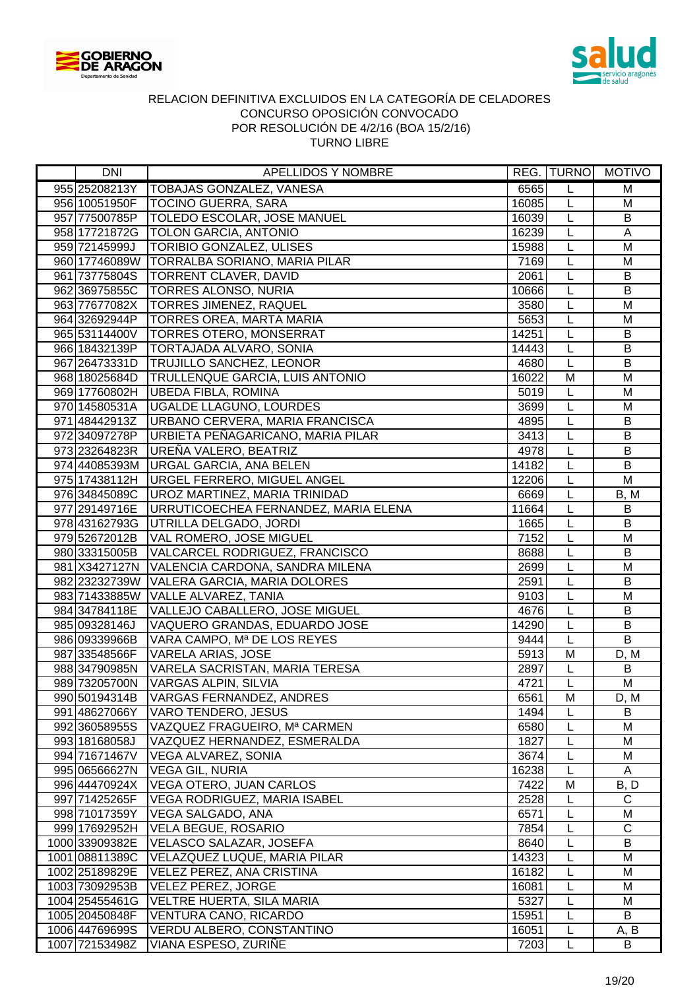



| DNI            | <b>APELLIDOS Y NOMBRE</b>                     |       |                | REG. TURNO MOTIVO |
|----------------|-----------------------------------------------|-------|----------------|-------------------|
| 955 25208213Y  | <b>TOBAJAS GONZALEZ, VANESA</b>               | 6565  | L              | M                 |
|                | 956 10051950F   TOCINO GUERRA, SARA           | 16085 | L              | M                 |
|                | 957 77500785P   TOLEDO ESCOLAR, JOSE MANUEL   | 16039 | L              | $\sf B$           |
|                | 958 17721872G   TOLON GARCIA, ANTONIO         | 16239 | L              | A                 |
| 959 72145999J  | <b>TORIBIO GONZALEZ, ULISES</b>               | 15988 | L              | M                 |
|                | 960 17746089W TORRALBA SORIANO, MARIA PILAR   | 7169  | L              | M                 |
| 961 73775804S  | <b>TORRENT CLAVER, DAVID</b>                  | 2061  | L              | $\sf B$           |
| 962 36975855C  | <b>TORRES ALONSO, NURIA</b>                   | 10666 | L              | B                 |
| 963 77677082X  | <b>TORRES JIMENEZ, RAQUEL</b>                 | 3580  | L              | M                 |
| 964 32692944P  | <b>TORRES OREA, MARTA MARIA</b>               | 5653  | L              | M                 |
|                | 965 53114400V TORRES OTERO, MONSERRAT         | 14251 | L              | $\sf B$           |
| 966 18432139P  | <b>TORTAJADA ALVARO, SONIA</b>                | 14443 | L              | $\overline{B}$    |
| 967 26473331D  | <b>TRUJILLO SANCHEZ, LEONOR</b>               | 4680  | L              | B                 |
| 968 18025684D  | <b>TRULLENQUE GARCIA, LUIS ANTONIO</b>        | 16022 | M              | M                 |
| 969 17760802H  | <b>UBEDA FIBLA, ROMINA</b>                    | 5019  | L              | M                 |
| 970 14580531A  | <b>UGALDE LLAGUNO, LOURDES</b>                | 3699  | L              | M                 |
| 971 48442913Z  | URBANO CERVERA, MARIA FRANCISCA               | 4895  | L              | B                 |
| 972 34097278P  | URBIETA PEÑAGARICANO, MARIA PILAR             | 3413  | L              | $\overline{B}$    |
| 973 23264823R  | UREÑA VALERO, BEATRIZ                         | 4978  | L              | $\sf B$           |
|                | 974 44085393M URGAL GARCIA, ANA BELEN         | 14182 | L              | B                 |
| 975 17438112H  | <b>URGEL FERRERO, MIGUEL ANGEL</b>            | 12206 | L              | M                 |
| 976 34845089C  | UROZ MARTINEZ, MARIA TRINIDAD                 | 6669  | L              | B, M              |
| 977 29149716E  | URRUTICOECHEA FERNANDEZ, MARIA ELENA          | 11664 | L              | B                 |
| 978 43162793G  | UTRILLA DELGADO, JORDI                        | 1665  | L              | B                 |
| 979 52672012B  | VAL ROMERO, JOSE MIGUEL                       | 7152  | L              | M                 |
| 980 33315005B  | VALCARCEL RODRIGUEZ, FRANCISCO                | 8688  | $\overline{L}$ | $\overline{B}$    |
|                | 981 X3427127N VALENCIA CARDONA, SANDRA MILENA | 2699  | L              | M                 |
|                | 982 23232739W VALERA GARCIA, MARIA DOLORES    | 2591  | L              | $\overline{B}$    |
| 983 71433885W  | <b>VALLE ALVAREZ, TANIA</b>                   | 9103  | L              | M                 |
| 984 34784118E  | VALLEJO CABALLERO, JOSE MIGUEL                | 4676  | L              | B                 |
| 985 09328146J  | VAQUERO GRANDAS, EDUARDO JOSE                 | 14290 | L              | $\overline{B}$    |
| 986 09339966B  | VARA CAMPO, Mª DE LOS REYES                   | 9444  | L              | B                 |
| 987 33548566F  | <b>VARELA ARIAS, JOSE</b>                     | 5913  | M              | D, M              |
| 988 34790985N  | VARELA SACRISTAN, MARIA TERESA                | 2897  | L              | $\mathsf B$       |
| 989 73205700N  | <b>VARGAS ALPIN, SILVIA</b>                   | 4721  | $\overline{L}$ | M                 |
| 990 50194314B  | VARGAS FERNANDEZ, ANDRES                      | 6561  | M              | D, M              |
| 991 48627066Y  | VARO TENDERO, JESUS                           | 1494  | L              | B                 |
| 992 36058955S  | VAZQUEZ FRAGUEIRO, Mª CARMEN                  | 6580  | L              | M                 |
| 993 18168058J  | VAZQUEZ HERNANDEZ, ESMERALDA                  | 1827  | L              | M                 |
| 994 71671467V  | VEGA ALVAREZ, SONIA                           | 3674  | L              | M                 |
| 995 06566627N  | <b>VEGA GIL, NURIA</b>                        | 16238 | L              | A                 |
| 996 44470924X  | VEGA OTERO, JUAN CARLOS                       | 7422  | M              | B, D              |
| 997 71425265F  | VEGA RODRIGUEZ, MARIA ISABEL                  | 2528  | L              | $\mathsf{C}$      |
| 998 71017359Y  | VEGA SALGADO, ANA                             | 6571  | L              | M                 |
| 999 17692952H  | VELA BEGUE, ROSARIO                           | 7854  | L              | $\mathsf{C}$      |
| 1000 33909382E | VELASCO SALAZAR, JOSEFA                       | 8640  | L              | B                 |
| 1001 08811389C | VELAZQUEZ LUQUE, MARIA PILAR                  | 14323 | L              | M                 |
| 1002 25189829E | VELEZ PEREZ, ANA CRISTINA                     | 16182 | L              | M                 |
| 1003 73092953B | VELEZ PEREZ, JORGE                            | 16081 | L              | M                 |
| 1004 25455461G | VELTRE HUERTA, SILA MARIA                     | 5327  | L              | M                 |
| 1005 20450848F | VENTURA CANO, RICARDO                         | 15951 | L              | B                 |
| 1006 44769699S | VERDU ALBERO, CONSTANTINO                     | 16051 | L              | A, B              |
| 1007 72153498Z | VIANA ESPESO, ZURIÑE                          | 7203  | L              | B                 |